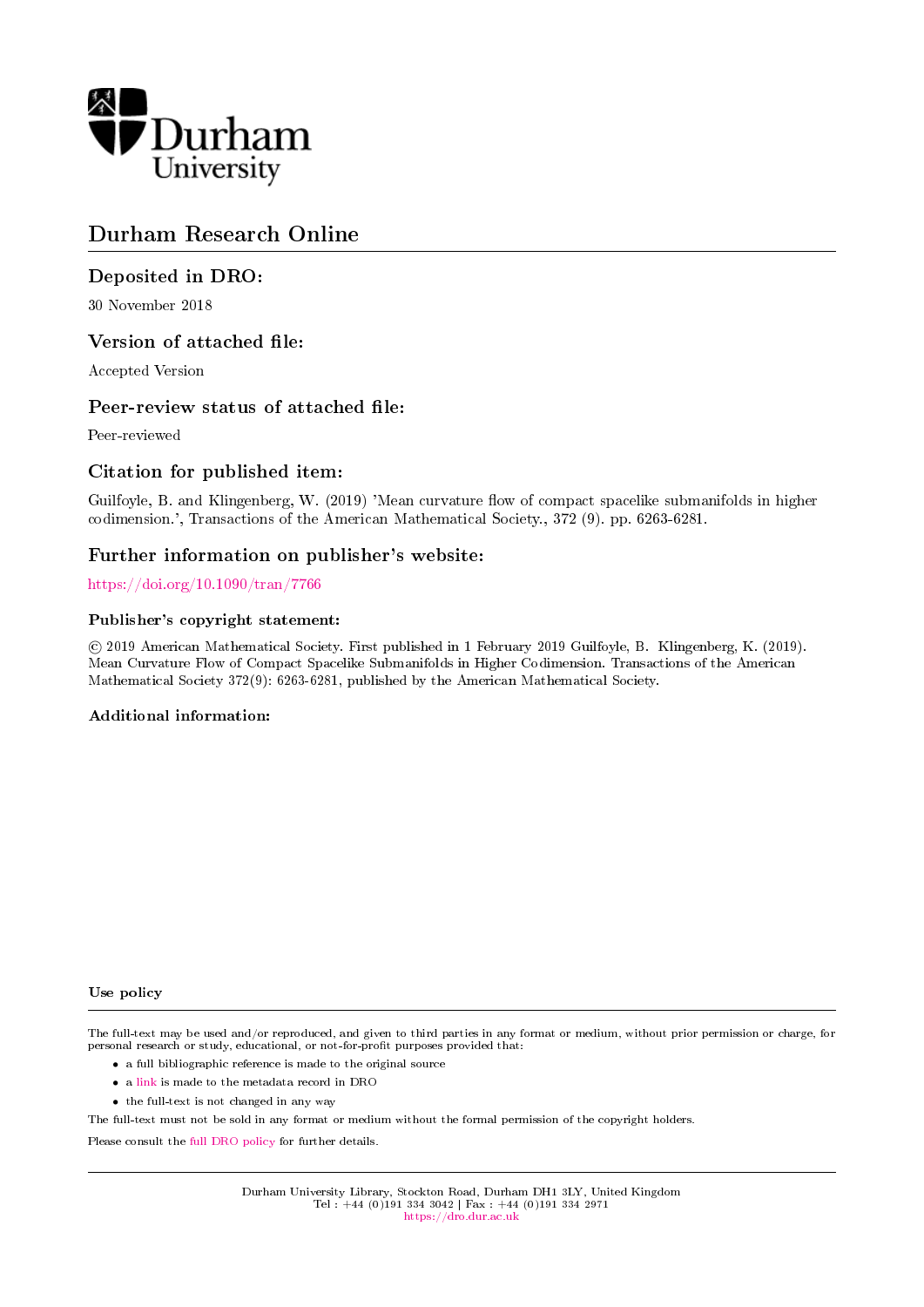

# Durham Research Online

## Deposited in DRO:

30 November 2018

## Version of attached file:

Accepted Version

## Peer-review status of attached file:

Peer-reviewed

## Citation for published item:

Guilfoyle, B. and Klingenberg, W. (2019) 'Mean curvature flow of compact spacelike submanifolds in higher codimension.', Transactions of the American Mathematical Society., 372 (9). pp. 6263-6281.

## Further information on publisher's website:

[https://doi.org/10.1090/tran/7766](https://doi.org/10.1090/tran/7766 )

## Publisher's copyright statement:

 c 2019 American Mathematical Society. First published in 1 February 2019 Guilfoyle, B. Klingenberg, K. (2019). Mean Curvature Flow of Compact Spacelike Submanifolds in Higher Codimension. Transactions of the American Mathematical Society 372(9): 6263-6281, published by the American Mathematical Society.

### Additional information:

Use policy

The full-text may be used and/or reproduced, and given to third parties in any format or medium, without prior permission or charge, for personal research or study, educational, or not-for-profit purposes provided that:

- a full bibliographic reference is made to the original source
- a [link](http://dro.dur.ac.uk/26885/) is made to the metadata record in DRO
- the full-text is not changed in any way

The full-text must not be sold in any format or medium without the formal permission of the copyright holders.

Please consult the [full DRO policy](https://dro.dur.ac.uk/policies/usepolicy.pdf) for further details.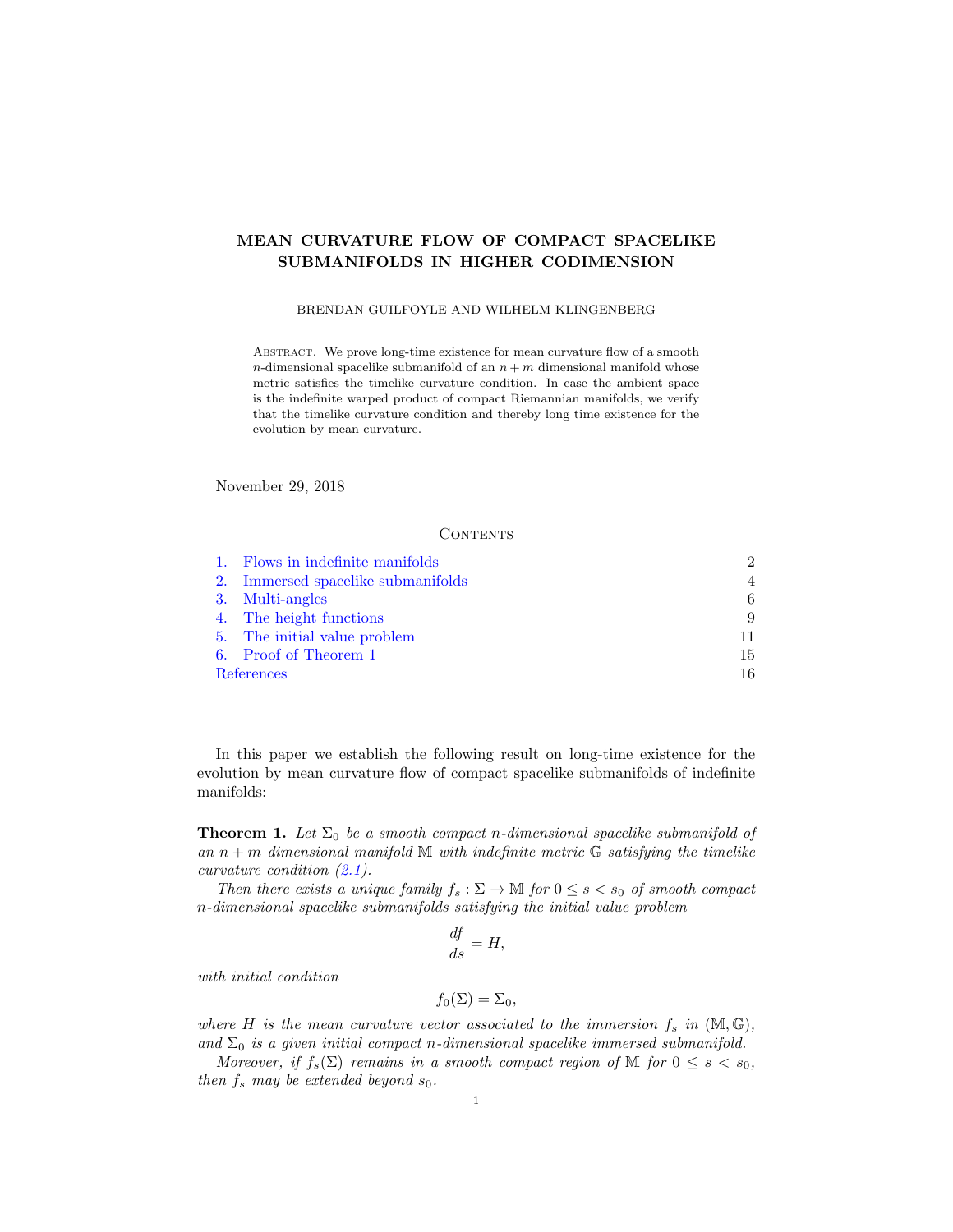## MEAN CURVATURE FLOW OF COMPACT SPACELIKE SUBMANIFOLDS IN HIGHER CODIMENSION

#### BRENDAN GUILFOYLE AND WILHELM KLINGENBERG

Abstract. We prove long-time existence for mean curvature flow of a smooth n-dimensional spacelike submanifold of an  $n + m$  dimensional manifold whose metric satisfies the timelike curvature condition. In case the ambient space is the indefinite warped product of compact Riemannian manifolds, we verify that the timelike curvature condition and thereby long time existence for the evolution by mean curvature.

November 29, 2018

#### **CONTENTS**

| 1. Flows in indefinite manifolds   | $\mathcal{D}_{\mathcal{L}}$ |
|------------------------------------|-----------------------------|
| 2. Immersed spacelike submanifolds | 4                           |
| 3. Multi-angles                    | 6                           |
| 4. The height functions            | 9                           |
| 5. The initial value problem       |                             |
| 6. Proof of Theorem 1              | 15                          |
| References                         | 16.                         |

In this paper we establish the following result on long-time existence for the evolution by mean curvature flow of compact spacelike submanifolds of indefinite manifolds:

<span id="page-1-0"></span>**Theorem 1.** Let  $\Sigma_0$  be a smooth compact n-dimensional spacelike submanifold of an  $n + m$  dimensional manifold M with indefinite metric  $\mathbb{G}$  satisfying the timelike curvature condition [\(2.1\)](#page-4-1).

Then there exists a unique family  $f_s : \Sigma \to \mathbb{M}$  for  $0 \le s < s_0$  of smooth compact n-dimensional spacelike submanifolds satisfying the initial value problem

$$
\frac{df}{ds} = H,
$$

with initial condition

$$
f_0(\Sigma) = \Sigma_0,
$$

where H is the mean curvature vector associated to the immersion  $f_s$  in  $(M, \mathbb{G})$ , and  $\Sigma_0$  is a given initial compact n-dimensional spacelike immersed submanifold.

Moreover, if  $f_s(\Sigma)$  remains in a smooth compact region of M for  $0 \leq s < s_0$ , then  $f_s$  may be extended beyond  $s_0$ .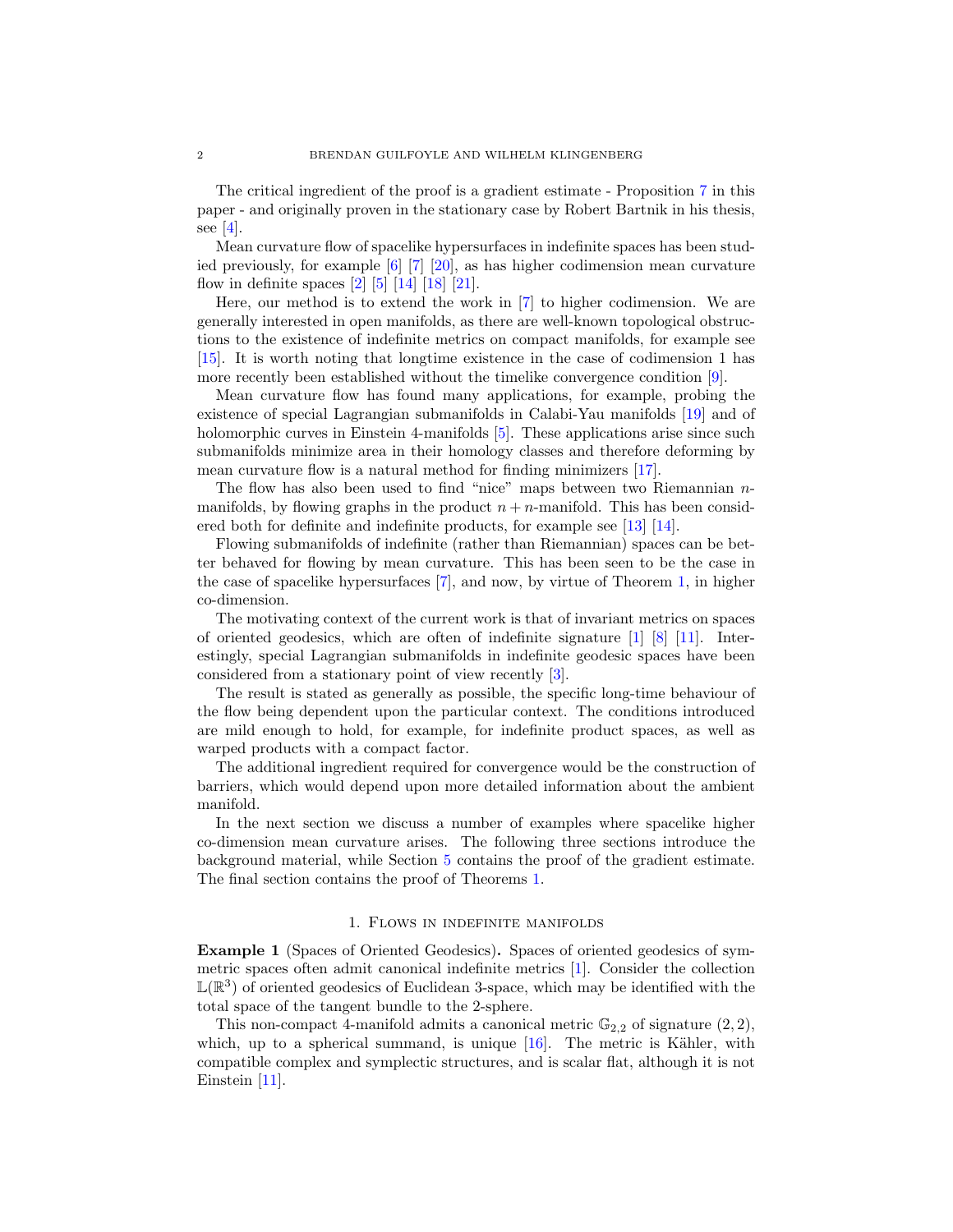The critical ingredient of the proof is a gradient estimate - Proposition [7](#page-12-0) in this paper - and originally proven in the stationary case by Robert Bartnik in his thesis, see  $[4]$ .

Mean curvature flow of spacelike hypersurfaces in indefinite spaces has been studied previously, for example [\[6\]](#page-17-0) [\[7\]](#page-17-1) [\[20\]](#page-17-2), as has higher codimension mean curvature flow in definite spaces  $[2]$   $[5]$   $[14]$   $[18]$   $[21]$ .

Here, our method is to extend the work in [\[7\]](#page-17-1) to higher codimension. We are generally interested in open manifolds, as there are well-known topological obstructions to the existence of indefinite metrics on compact manifolds, for example see [\[15\]](#page-17-7). It is worth noting that longtime existence in the case of codimension 1 has more recently been established without the timelike convergence condition [\[9\]](#page-17-8).

Mean curvature flow has found many applications, for example, probing the existence of special Lagrangian submanifolds in Calabi-Yau manifolds [\[19\]](#page-17-9) and of holomorphic curves in Einstein 4-manifolds [\[5\]](#page-17-3). These applications arise since such submanifolds minimize area in their homology classes and therefore deforming by mean curvature flow is a natural method for finding minimizers [\[17\]](#page-17-10).

The flow has also been used to find "nice" maps between two Riemannian  $n$ manifolds, by flowing graphs in the product  $n + n$ -manifold. This has been considered both for definite and indefinite products, for example see [\[13\]](#page-17-11) [\[14\]](#page-17-4).

Flowing submanifolds of indefinite (rather than Riemannian) spaces can be better behaved for flowing by mean curvature. This has been seen to be the case in the case of spacelike hypersurfaces [\[7\]](#page-17-1), and now, by virtue of Theorem [1,](#page-1-0) in higher co-dimension.

The motivating context of the current work is that of invariant metrics on spaces of oriented geodesics, which are often of indefinite signature [\[1\]](#page-16-3) [\[8\]](#page-17-12) [\[11\]](#page-17-13). Interestingly, special Lagrangian submanifolds in indefinite geodesic spaces have been considered from a stationary point of view recently [\[3\]](#page-16-4).

The result is stated as generally as possible, the specific long-time behaviour of the flow being dependent upon the particular context. The conditions introduced are mild enough to hold, for example, for indefinite product spaces, as well as warped products with a compact factor.

The additional ingredient required for convergence would be the construction of barriers, which would depend upon more detailed information about the ambient manifold.

In the next section we discuss a number of examples where spacelike higher co-dimension mean curvature arises. The following three sections introduce the background material, while Section [5](#page-11-0) contains the proof of the gradient estimate. The final section contains the proof of Theorems [1.](#page-1-0)

#### 1. Flows in indefinite manifolds

<span id="page-2-0"></span>Example 1 (Spaces of Oriented Geodesics). Spaces of oriented geodesics of symmetric spaces often admit canonical indefinite metrics [\[1\]](#page-16-3). Consider the collection  $\mathbb{L}(\mathbb{R}^3)$  of oriented geodesics of Euclidean 3-space, which may be identified with the total space of the tangent bundle to the 2-sphere.

This non-compact 4-manifold admits a canonical metric  $\mathbb{G}_{2,2}$  of signature  $(2, 2)$ , which, up to a spherical summand, is unique  $[16]$ . The metric is Kähler, with compatible complex and symplectic structures, and is scalar flat, although it is not Einstein [\[11\]](#page-17-13).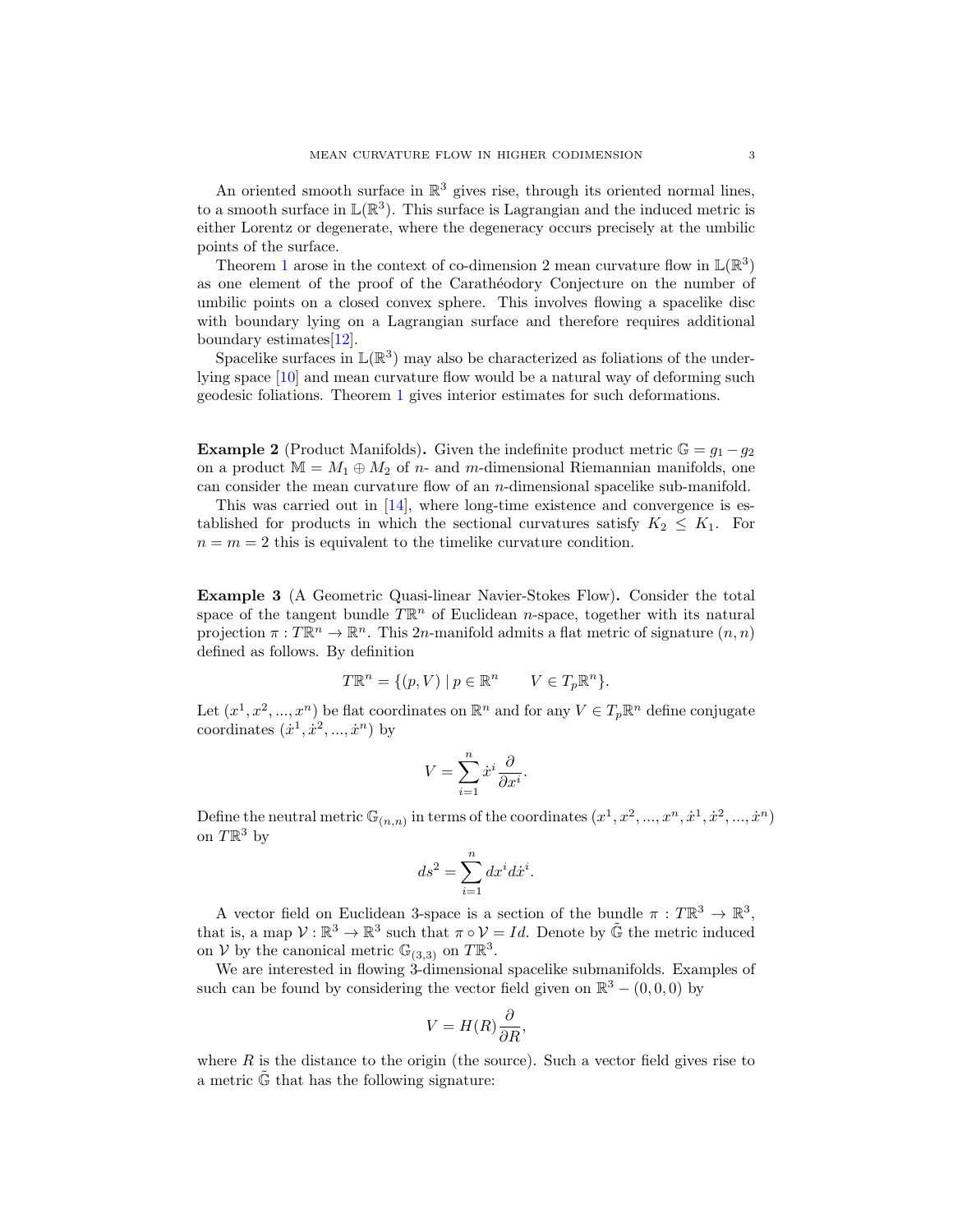An oriented smooth surface in  $\mathbb{R}^3$  gives rise, through its oriented normal lines, to a smooth surface in  $\mathbb{L}(\mathbb{R}^3)$ . This surface is Lagrangian and the induced metric is either Lorentz or degenerate, where the degeneracy occurs precisely at the umbilic points of the surface.

Theorem [1](#page-1-0) arose in the context of co-dimension 2 mean curvature flow in  $\mathbb{L}(\mathbb{R}^3)$ as one element of the proof of the Caratheodory Conjecture on the number of umbilic points on a closed convex sphere. This involves flowing a spacelike disc with boundary lying on a Lagrangian surface and therefore requires additional boundary estimates[\[12\]](#page-17-15).

Spacelike surfaces in  $\mathbb{L}(\mathbb{R}^3)$  may also be characterized as foliations of the underlying space [\[10\]](#page-17-16) and mean curvature flow would be a natural way of deforming such geodesic foliations. Theorem [1](#page-1-0) gives interior estimates for such deformations.

**Example 2** (Product Manifolds). Given the indefinite product metric  $\mathbb{G} = g_1 - g_2$ on a product  $M = M_1 \oplus M_2$  of n- and m-dimensional Riemannian manifolds, one can consider the mean curvature flow of an n-dimensional spacelike sub-manifold.

This was carried out in [\[14\]](#page-17-4), where long-time existence and convergence is established for products in which the sectional curvatures satisfy  $K_2 \leq K_1$ . For  $n = m = 2$  this is equivalent to the timelike curvature condition.

Example 3 (A Geometric Quasi-linear Navier-Stokes Flow). Consider the total space of the tangent bundle  $T\mathbb{R}^n$  of Euclidean *n*-space, together with its natural projection  $\pi: T\mathbb{R}^n \to \mathbb{R}^n$ . This 2n-manifold admits a flat metric of signature  $(n, n)$ defined as follows. By definition

$$
T\mathbb{R}^n = \{(p, V) \mid p \in \mathbb{R}^n \quad V \in T_p\mathbb{R}^n\}.
$$

Let  $(x^1, x^2, ..., x^n)$  be flat coordinates on  $\mathbb{R}^n$  and for any  $V \in T_p \mathbb{R}^n$  define conjugate coordinates  $(\dot{x}^1, \dot{x}^2, ..., \dot{x}^n)$  by

$$
V = \sum_{i=1}^{n} \dot{x}^i \frac{\partial}{\partial x^i}.
$$

Define the neutral metric  $\mathbb{G}_{(n,n)}$  in terms of the coordinates  $(x^1, x^2, ..., x^n, \dot{x}^1, \dot{x}^2, ..., \dot{x}^n)$ on  $T\mathbb{R}^3$  by

$$
ds^2 = \sum_{i=1}^n dx^i dx^i.
$$

A vector field on Euclidean 3-space is a section of the bundle  $\pi: T\mathbb{R}^3 \to \mathbb{R}^3$ , that is, a map  $\mathcal{V}: \mathbb{R}^3 \to \mathbb{R}^3$  such that  $\pi \circ \mathcal{V} = Id$ . Denote by  $\tilde{\mathbb{G}}$  the metric induced on V by the canonical metric  $\mathbb{G}_{(3,3)}$  on  $T\mathbb{R}^3$ .

We are interested in flowing 3-dimensional spacelike submanifolds. Examples of such can be found by considering the vector field given on  $\mathbb{R}^3 - (0,0,0)$  by

$$
V = H(R)\frac{\partial}{\partial R},
$$

where  $R$  is the distance to the origin (the source). Such a vector field gives rise to a metric  $\tilde{\mathbb{G}}$  that has the following signature: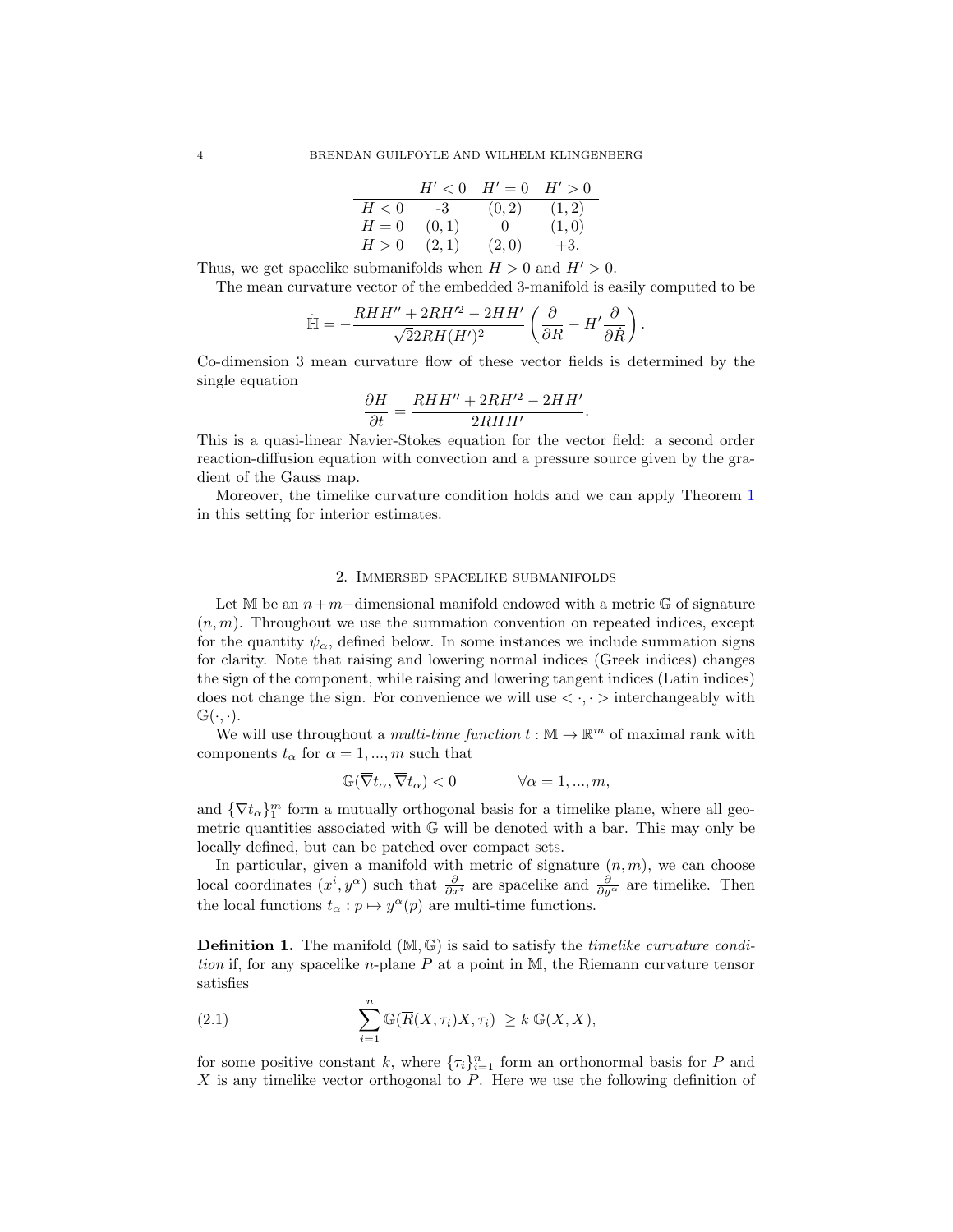|       | H' < 0 | $H'=0$ | H' > 0 |
|-------|--------|--------|--------|
| H<0   | -3-    | (0, 2) | (1,2)  |
| $H=0$ | (0,1)  | $\cup$ | (1,0)  |
| H>0   | (2,1)  | (2,0)  | $+3.$  |

Thus, we get spacelike submanifolds when  $H > 0$  and  $H' > 0$ .

The mean curvature vector of the embedded 3-manifold is easily computed to be

$$
\tilde{\mathbb{H}}=-\frac{RHH''+2RH'^2-2HH'}{\sqrt{2}2RH(H')^2}\left(\frac{\partial}{\partial R}-H'\frac{\partial}{\partial R}\right).
$$

Co-dimension 3 mean curvature flow of these vector fields is determined by the single equation

$$
\frac{\partial H}{\partial t} = \frac{RHH'' + 2RH'^2 - 2HH'}{2RHH'}.
$$

This is a quasi-linear Navier-Stokes equation for the vector field: a second order reaction-diffusion equation with convection and a pressure source given by the gradient of the Gauss map.

Moreover, the timelike curvature condition holds and we can apply Theorem [1](#page-1-0) in this setting for interior estimates.

#### 2. Immersed spacelike submanifolds

<span id="page-4-0"></span>Let M be an  $n+m$ -dimensional manifold endowed with a metric  $\mathbb{G}$  of signature  $(n, m)$ . Throughout we use the summation convention on repeated indices, except for the quantity  $\psi_{\alpha}$ , defined below. In some instances we include summation signs for clarity. Note that raising and lowering normal indices (Greek indices) changes the sign of the component, while raising and lowering tangent indices (Latin indices) does not change the sign. For convenience we will use  $\langle \cdot, \cdot \rangle$  interchangeably with  $\mathbb{G}(\cdot,\cdot).$ 

We will use throughout a *multi-time function*  $t : \mathbb{M} \to \mathbb{R}^m$  of maximal rank with components  $t_{\alpha}$  for  $\alpha = 1, ..., m$  such that

$$
\mathbb{G}(\overline{\nabla}t_{\alpha}, \overline{\nabla}t_{\alpha}) < 0 \qquad \qquad \forall \alpha = 1, ..., m,
$$

and  $\{\overline{\nabla} t_{\alpha}\}_{1}^{m}$  form a mutually orthogonal basis for a timelike plane, where all geometric quantities associated with G will be denoted with a bar. This may only be locally defined, but can be patched over compact sets.

In particular, given a manifold with metric of signature  $(n, m)$ , we can choose local coordinates  $(x^i, y^{\alpha})$  such that  $\frac{\partial}{\partial x^i}$  are spacelike and  $\frac{\partial}{\partial y^{\alpha}}$  are timelike. Then the local functions  $t_{\alpha}: p \mapsto y^{\alpha}(p)$  are multi-time functions.

**Definition 1.** The manifold  $(M, \mathbb{G})$  is said to satisfy the *timelike curvature condi*tion if, for any spacelike n-plane  $P$  at a point in M, the Riemann curvature tensor satisfies

<span id="page-4-1"></span>(2.1) 
$$
\sum_{i=1}^{n} \mathbb{G}(\overline{R}(X,\tau_i)X,\tau_i) \geq k \mathbb{G}(X,X),
$$

for some positive constant k, where  ${\lbrace \tau_i \rbrace}_{i=1}^n$  form an orthonormal basis for P and  $X$  is any timelike vector orthogonal to  $P$ . Here we use the following definition of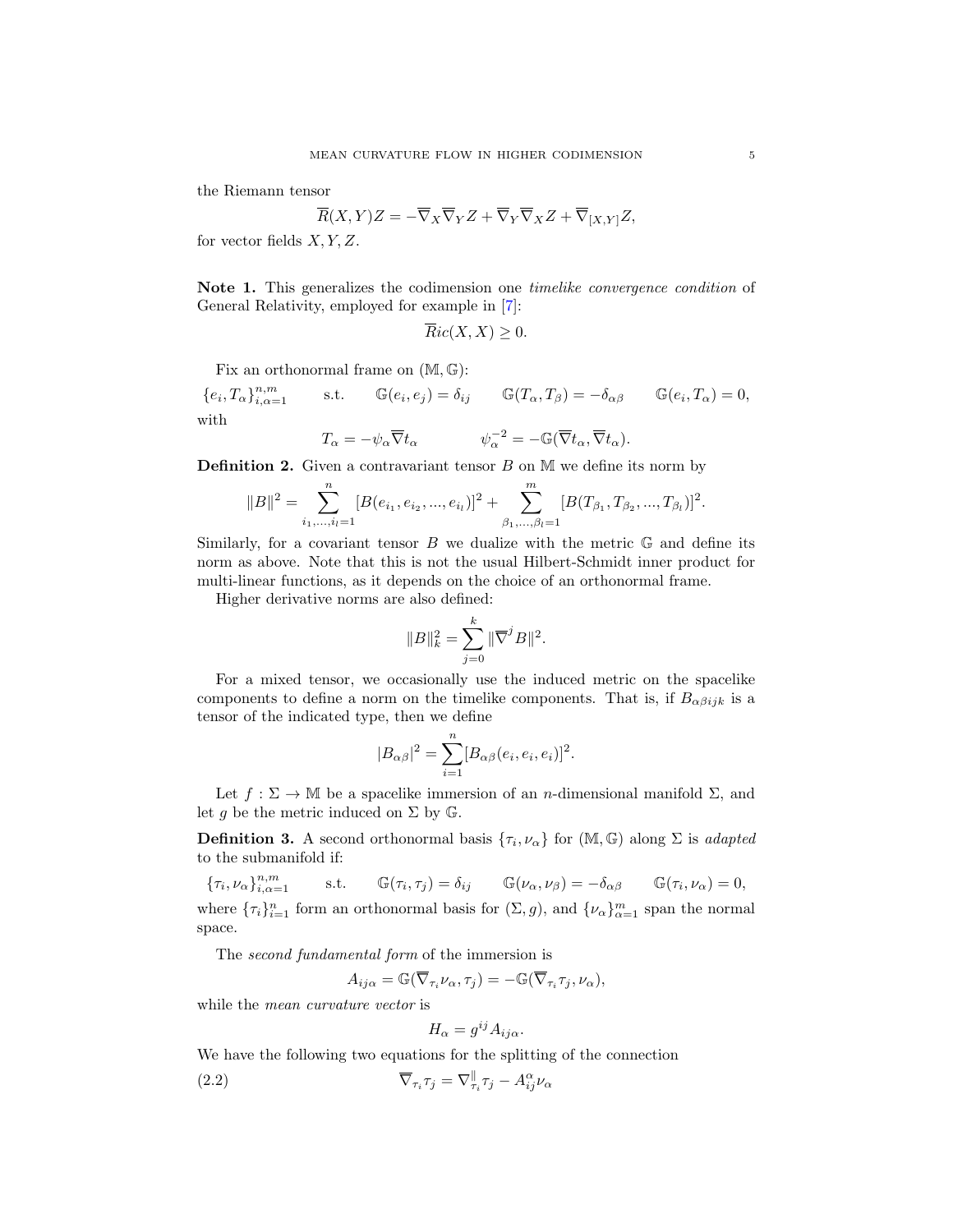the Riemann tensor

$$
\overline{R}(X,Y)Z=-\overline{\nabla}_X\overline{\nabla}_YZ+\overline{\nabla}_Y\overline{Z}XZ+\overline{\nabla}_{[X,Y]}Z,
$$

for vector fields  $X, Y, Z$ .

Note 1. This generalizes the codimension one timelike convergence condition of General Relativity, employed for example in [\[7\]](#page-17-1):

$$
\overline{R}ic(X,X)\geq 0.
$$

Fix an orthonormal frame on  $(M, \mathbb{G})$ :

 ${e_i, T_\alpha\}_{i,\alpha=1}^{n,m}$  $\mathbb{G}_{i,\alpha=1}^{n,m}$  s.t.  $\mathbb{G}(e_i,e_j)=\delta_{ij}$   $\mathbb{G}(T_\alpha,T_\beta)=-\delta_{\alpha\beta}$   $\mathbb{G}(e_i,T_\alpha)=0$ , with

$$
T_{\alpha} = -\psi_{\alpha} \overline{\nabla} t_{\alpha} \qquad \psi_{\alpha}^{-2} = -\mathbb{G}(\overline{\nabla} t_{\alpha}, \overline{\nabla} t_{\alpha}).
$$

<span id="page-5-0"></span>**Definition 2.** Given a contravariant tensor  $B$  on  $M$  we define its norm by

$$
||B||^{2} = \sum_{i_{1},...,i_{l}=1}^{n} [B(e_{i_{1}},e_{i_{2}},...,e_{i_{l}})]^{2} + \sum_{\beta_{1},...,\beta_{l}=1}^{m} [B(T_{\beta_{1}},T_{\beta_{2}},...,T_{\beta_{l}})]^{2}.
$$

Similarly, for a covariant tensor  $B$  we dualize with the metric  $\mathbb G$  and define its norm as above. Note that this is not the usual Hilbert-Schmidt inner product for multi-linear functions, as it depends on the choice of an orthonormal frame.

Higher derivative norms are also defined:

$$
||B||_k^2 = \sum_{j=0}^k ||\overline{\nabla}^j B||^2.
$$

For a mixed tensor, we occasionally use the induced metric on the spacelike components to define a norm on the timelike components. That is, if  $B_{\alpha\beta i j k}$  is a tensor of the indicated type, then we define

$$
|B_{\alpha\beta}|^2 = \sum_{i=1}^n [B_{\alpha\beta}(e_i, e_i, e_i)]^2.
$$

Let  $f : \Sigma \to \mathbb{M}$  be a spacelike immersion of an *n*-dimensional manifold  $\Sigma$ , and let g be the metric induced on  $\Sigma$  by  $\mathbb{G}$ .

**Definition 3.** A second orthonormal basis  $\{\tau_i, \nu_\alpha\}$  for  $(\mathbb{M}, \mathbb{G})$  along  $\Sigma$  is *adapted* to the submanifold if:

 ${\{\tau_i,\nu_\alpha\}}_{i,\alpha=1}^{n,m}$  $\mathbb{G}_{i,\alpha=1}^{n,m}$  s.t.  $\mathbb{G}(\tau_i,\tau_j)=\delta_{ij}$   $\mathbb{G}(\nu_\alpha,\nu_\beta)=-\delta_{\alpha\beta}$   $\mathbb{G}(\tau_i,\nu_\alpha)=0,$ where  $\{\tau_i\}_{i=1}^n$  form an orthonormal basis for  $(\Sigma, g)$ , and  $\{\nu_\alpha\}_{\alpha=1}^m$  span the normal space.

The second fundamental form of the immersion is

$$
A_{ij\alpha} = \mathbb{G}(\overline{\nabla}_{\tau_i} \nu_\alpha, \tau_j) = -\mathbb{G}(\overline{\nabla}_{\tau_i} \tau_j, \nu_\alpha),
$$

while the *mean curvature vector* is

$$
H_{\alpha} = g^{ij} A_{ij\alpha}.
$$

We have the following two equations for the splitting of the connection

(2.2) 
$$
\overline{\nabla}_{\tau_i} \tau_j = \nabla_{\tau_i}^{\parallel} \tau_j - A_{ij}^{\alpha} \nu_{\alpha}
$$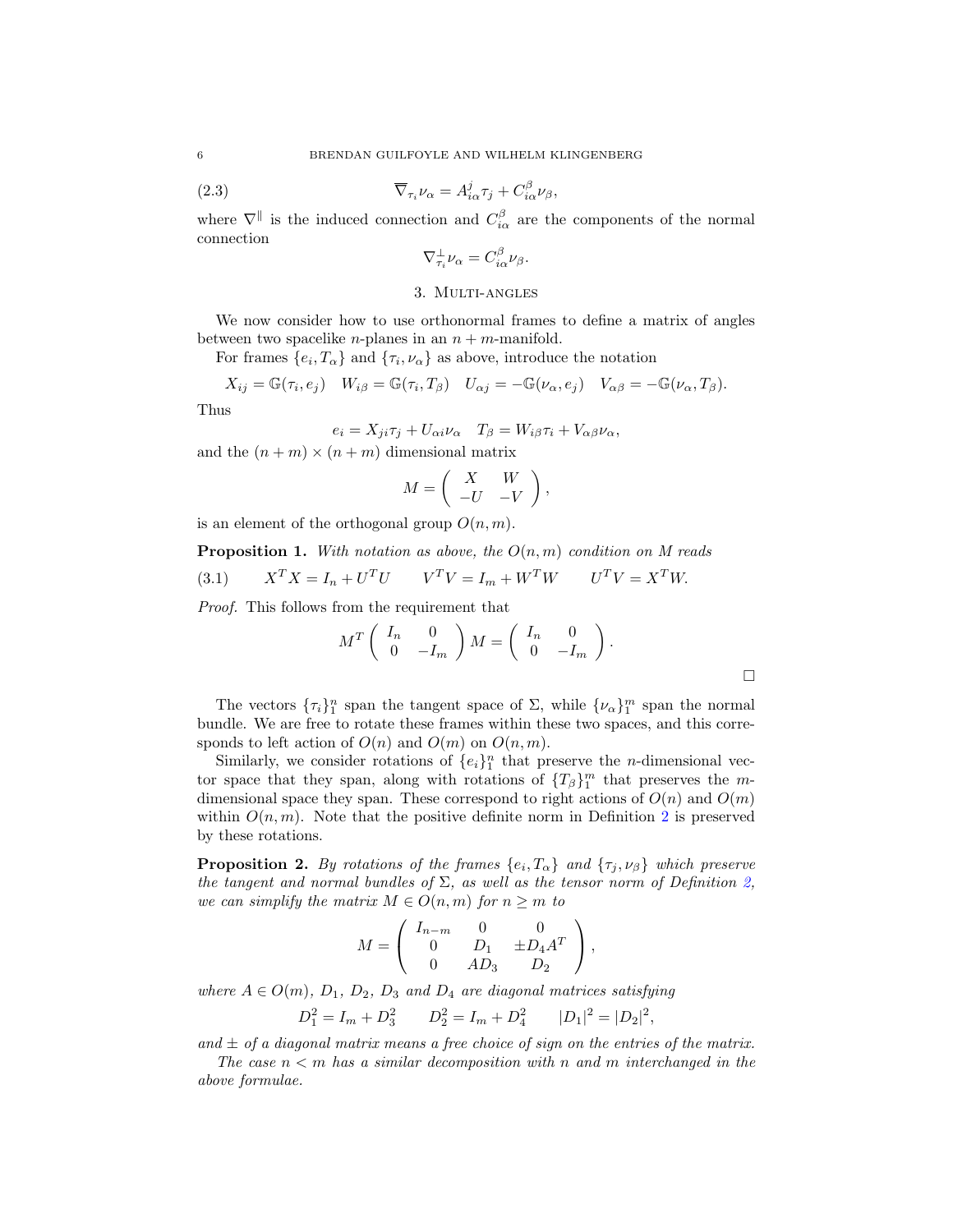(2.3) 
$$
\overline{\nabla}_{\tau_i} \nu_\alpha = A^j_{i\alpha} \tau_j + C^{\beta}_{i\alpha} \nu_\beta,
$$

where  $\nabla^{\parallel}$  is the induced connection and  $C_{i\alpha}^{\beta}$  are the components of the normal connection

$$
\nabla_{\tau_i}^{\perp} \nu_\alpha = C_{i\alpha}^{\beta} \nu_\beta.
$$

#### 3. Multi-angles

<span id="page-6-0"></span>We now consider how to use orthonormal frames to define a matrix of angles between two spacelike *n*-planes in an  $n + m$ -manifold.

For frames  $\{e_i, T_\alpha\}$  and  $\{\tau_i, \nu_\alpha\}$  as above, introduce the notation

$$
X_{ij} = \mathbb{G}(\tau_i, e_j) \quad W_{i\beta} = \mathbb{G}(\tau_i, T_{\beta}) \quad U_{\alpha j} = -\mathbb{G}(\nu_{\alpha}, e_j) \quad V_{\alpha \beta} = -\mathbb{G}(\nu_{\alpha}, T_{\beta}).
$$

Thus

$$
e_i = X_{ji}\tau_j + U_{\alpha i}\nu_\alpha \quad T_\beta = W_{i\beta}\tau_i + V_{\alpha\beta}\nu_\alpha,
$$

and the  $(n + m) \times (n + m)$  dimensional matrix

$$
M = \left( \begin{array}{cc} X & W \\ -U & -V \end{array} \right),
$$

is an element of the orthogonal group  $O(n, m)$ .

### **Proposition 1.** With notation as above, the  $O(n, m)$  condition on M reads

<span id="page-6-1"></span>
$$
(3.1) \t\t XT X = In + UT U \t\t VT V = Im + WT W \t\t UT V = XT W.
$$

Proof. This follows from the requirement that

$$
M^T \begin{pmatrix} I_n & 0 \\ 0 & -I_m \end{pmatrix} M = \begin{pmatrix} I_n & 0 \\ 0 & -I_m \end{pmatrix}.
$$

The vectors  $\{\tau_i\}_1^n$  span the tangent space of  $\Sigma$ , while  $\{\nu_\alpha\}_1^m$  span the normal bundle. We are free to rotate these frames within these two spaces, and this corresponds to left action of  $O(n)$  and  $O(m)$  on  $O(n, m)$ .

Similarly, we consider rotations of  $\{e_i\}_1^n$  that preserve the *n*-dimensional vector space that they span, along with rotations of  ${T_\beta}_{1}^m$  that preserves the mdimensional space they span. These correspond to right actions of  $O(n)$  and  $O(m)$ within  $O(n, m)$ . Note that the positive definite norm in Definition [2](#page-5-0) is preserved by these rotations.

<span id="page-6-2"></span>**Proposition 2.** By rotations of the frames  $\{e_i, T_\alpha\}$  and  $\{\tau_j, \nu_\beta\}$  which preserve the tangent and normal bundles of  $\Sigma$ , as well as the tensor norm of Definition [2,](#page-5-0) we can simplify the matrix  $M \in O(n, m)$  for  $n \geq m$  to

$$
M = \left( \begin{array}{ccc} I_{n-m} & 0 & 0 \\ 0 & D_1 & \pm D_4 A^T \\ 0 & AD_3 & D_2 \end{array} \right),
$$

where  $A \in O(m)$ ,  $D_1$ ,  $D_2$ ,  $D_3$  and  $D_4$  are diagonal matrices satisfying

 $D_1^2 = I_m + D_3^2$   $D_2^2 = I_m + D_4^2$   $|D_1|^2 = |D_2|^2$ ,

and  $\pm$  of a diagonal matrix means a free choice of sign on the entries of the matrix.

The case  $n < m$  has a similar decomposition with n and m interchanged in the above formulae.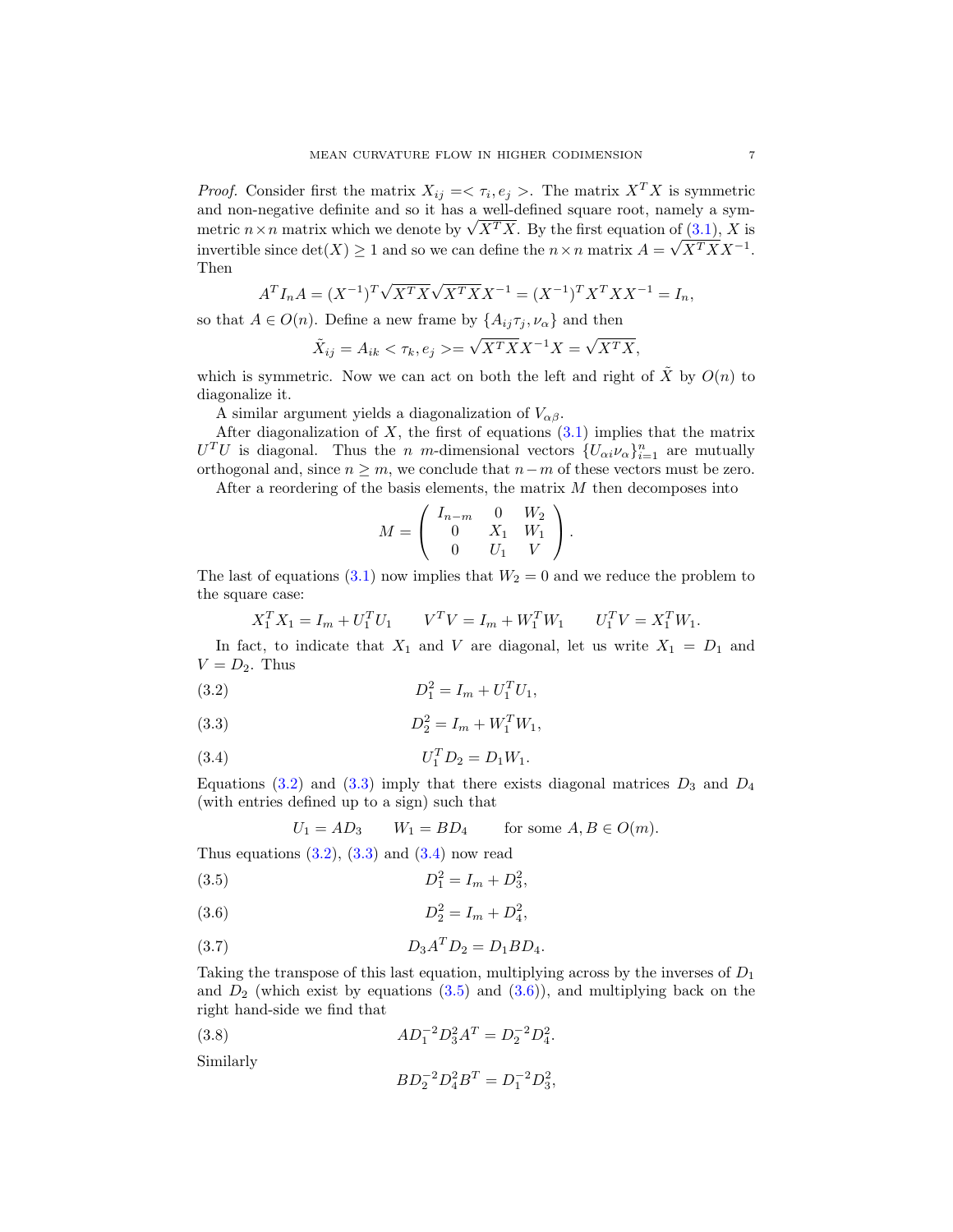*Proof.* Consider first the matrix  $X_{ij} = \langle \tau_i, e_j \rangle$ . The matrix  $X^T X$  is symmetric and non-negative definite and so it has a well-defined square root, namely a symand non-negative definite and so it has a well-defined square root, namely a symmetric  $n \times n$  matrix which we denote by  $\sqrt{X^T X}$ . By the first equation of  $(3.1)$ , X is invertible since  $\det(X) \geq 1$  and so we can define the  $n \times n$  matrix  $A = \sqrt{X^T X X^{-1}}$ . Then

$$
A^T I_n A = (X^{-1})^T \sqrt{X^T X} \sqrt{X^T X} X^{-1} = (X^{-1})^T X^T X X^{-1} = I_n,
$$

so that  $A \in O(n)$ . Define a new frame by  $\{A_{ij}\tau_j, \nu_\alpha\}$  and then

$$
\tilde{X}_{ij} = A_{ik} < \tau_k, e_j > = \sqrt{X^T X X^{-1} X} = \sqrt{X^T X},
$$

which is symmetric. Now we can act on both the left and right of  $\tilde{X}$  by  $O(n)$  to diagonalize it.

A similar argument yields a diagonalization of  $V_{\alpha\beta}$ .

After diagonalization of  $X$ , the first of equations  $(3.1)$  implies that the matrix  $U<sup>T</sup>U$  is diagonal. Thus the *n m*-dimensional vectors  $\{U_{\alpha i} \nu_{\alpha}\}_{i=1}^n$  are mutually orthogonal and, since  $n \geq m$ , we conclude that  $n-m$  of these vectors must be zero. After a reordering of the basis elements, the matrix  $M$  then decomposes into

$$
M = \left( \begin{array}{ccc} I_{n-m} & 0 & W_2 \\ 0 & X_1 & W_1 \\ 0 & U_1 & V \end{array} \right).
$$

The last of equations [\(3.1\)](#page-6-1) now implies that  $W_2 = 0$  and we reduce the problem to the square case:

<span id="page-7-0"></span>
$$
X_1^T X_1 = I_m + U_1^T U_1 \qquad V^T V = I_m + W_1^T W_1 \qquad U_1^T V = X_1^T W_1.
$$

In fact, to indicate that  $X_1$  and V are diagonal, let us write  $X_1 = D_1$  and  $V = D_2$ . Thus

(3.2) 
$$
D_1^2 = I_m + U_1^T U_1,
$$

(3.3) 
$$
D_2^2 = I_m + W_1^T W_1,
$$

(3.4) 
$$
U_1^T D_2 = D_1 W_1.
$$

Equations [\(3.2\)](#page-7-0) and [\(3.3\)](#page-7-1) imply that there exists diagonal matrices  $D_3$  and  $D_4$ (with entries defined up to a sign) such that

<span id="page-7-2"></span><span id="page-7-1"></span>
$$
U_1 = AD_3 \qquad W_1 = BD_4 \qquad \text{for some } A, B \in O(m).
$$

Thus equations  $(3.2)$ ,  $(3.3)$  and  $(3.4)$  now read

(3.5) 
$$
D_1^2 = I_m + D_3^2,
$$

$$
(3.6) \t\t D_2^2 = I_m + D_4^2
$$

(3.7) 
$$
D_3 A^T D_2 = D_1 B D_4.
$$

Taking the transpose of this last equation, multiplying across by the inverses of  $D_1$ and  $D_2$  (which exist by equations  $(3.5)$  and  $(3.6)$ ), and multiplying back on the right hand-side we find that

<span id="page-7-4"></span><span id="page-7-3"></span>,

(3.8) 
$$
AD_1^{-2}D_3^2A^T = D_2^{-2}D_4^2.
$$

Similarly

<span id="page-7-5"></span>
$$
BD_2^{-2}D_4^2B^T = D_1^{-2}D_3^2,
$$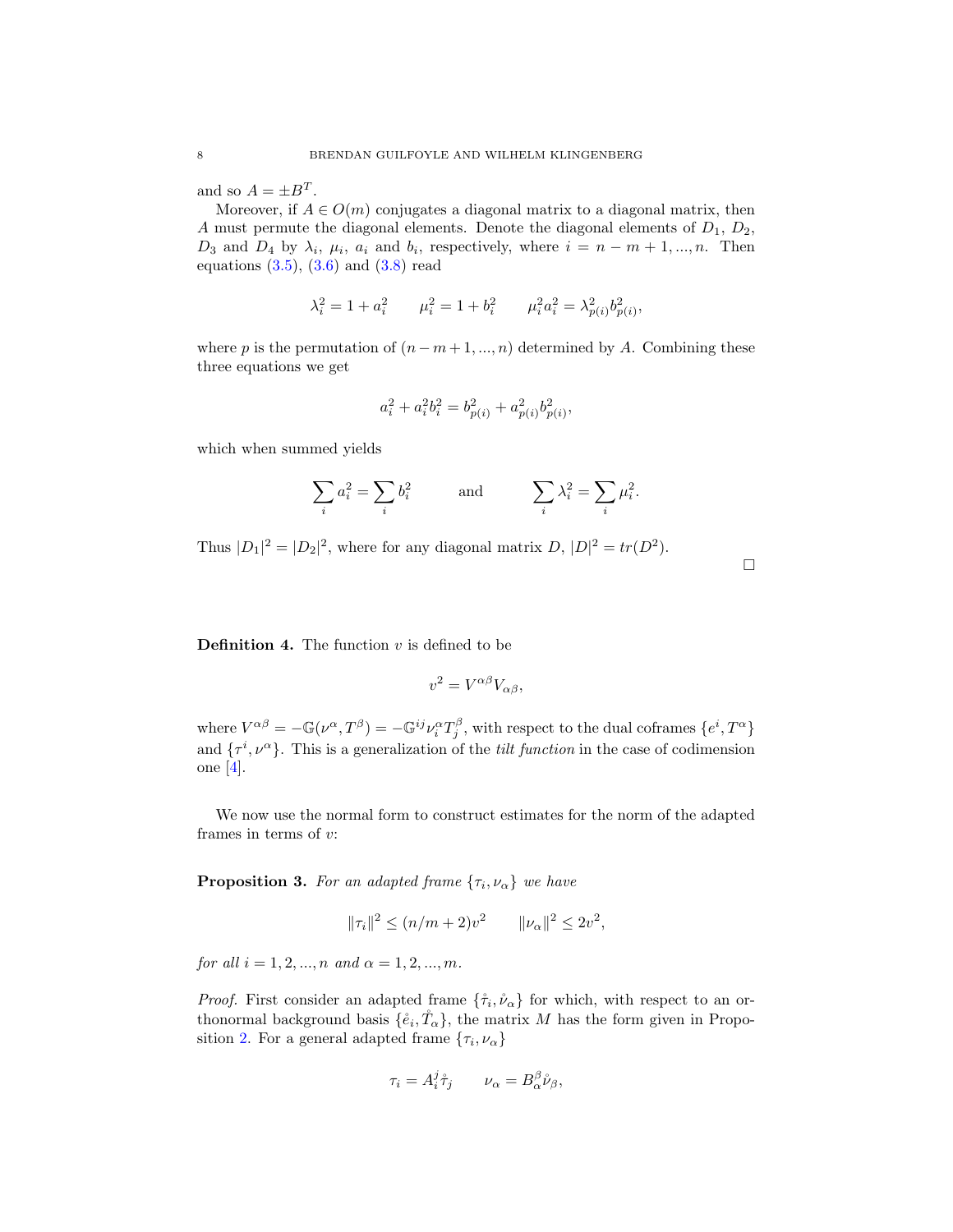and so  $A = \pm B^T$ .

Moreover, if  $A \in O(m)$  conjugates a diagonal matrix to a diagonal matrix, then A must permute the diagonal elements. Denote the diagonal elements of  $D_1$ ,  $D_2$ ,  $D_3$  and  $D_4$  by  $\lambda_i$ ,  $\mu_i$ ,  $a_i$  and  $b_i$ , respectively, where  $i = n - m + 1, ..., n$ . Then equations  $(3.5)$ ,  $(3.6)$  and  $(3.8)$  read

$$
\lambda_i^2 = 1 + a_i^2 \qquad \mu_i^2 = 1 + b_i^2 \qquad \mu_i^2 a_i^2 = \lambda_{p(i)}^2 b_{p(i)}^2,
$$

where p is the permutation of  $(n - m + 1, ..., n)$  determined by A. Combining these three equations we get

$$
a_i^2+a_i^2b_i^2=b_{p(i)}^2+a_{p(i)}^2b_{p(i)}^2,\quad
$$

which when summed yields

$$
\sum_i a_i^2 = \sum_i b_i^2 \hspace{1cm} \text{and} \hspace{1cm} \sum_i \lambda_i^2 = \sum_i \mu_i^2.
$$

Thus  $|D_1|^2 = |D_2|^2$ , where for any diagonal matrix  $D, |D|^2 = tr(D^2)$ .

 $\Box$ 

**Definition 4.** The function  $v$  is defined to be

$$
v^2 = V^{\alpha\beta} V_{\alpha\beta},
$$

where  $V^{\alpha\beta} = -\mathbb{G}(\nu^{\alpha}, T^{\beta}) = -\mathbb{G}^{ij}\nu_i^{\alpha}T_j^{\beta}$ , with respect to the dual coframes  $\{e^i, T^{\alpha}\}$ and  $\{\tau^i, \nu^{\alpha}\}.$  This is a generalization of the *tilt function* in the case of codimension one [\[4\]](#page-16-1).

We now use the normal form to construct estimates for the norm of the adapted frames in terms of v:

<span id="page-8-0"></span>**Proposition 3.** For an adapted frame  $\{\tau_i, \nu_\alpha\}$  we have

$$
\|\tau_i\|^2 \le (n/m+2)v^2 \qquad \|\nu_\alpha\|^2 \le 2v^2,
$$

for all  $i = 1, 2, ..., n$  and  $\alpha = 1, 2, ..., m$ .

*Proof.* First consider an adapted frame  $\{\hat{\tau}_i, \hat{\nu}_\alpha\}$  for which, with respect to an orthonormal background basis  $\{\hat{e}_i, \hat{T}_{\alpha}\}\)$ , the matrix M has the form given in Propo-sition [2.](#page-6-2) For a general adapted frame  $\{\tau_i, \nu_\alpha\}$ 

$$
\tau_i = A_i^j \mathring{\tau}_j \qquad \nu_\alpha = B_\alpha^\beta \mathring{\nu}_\beta,
$$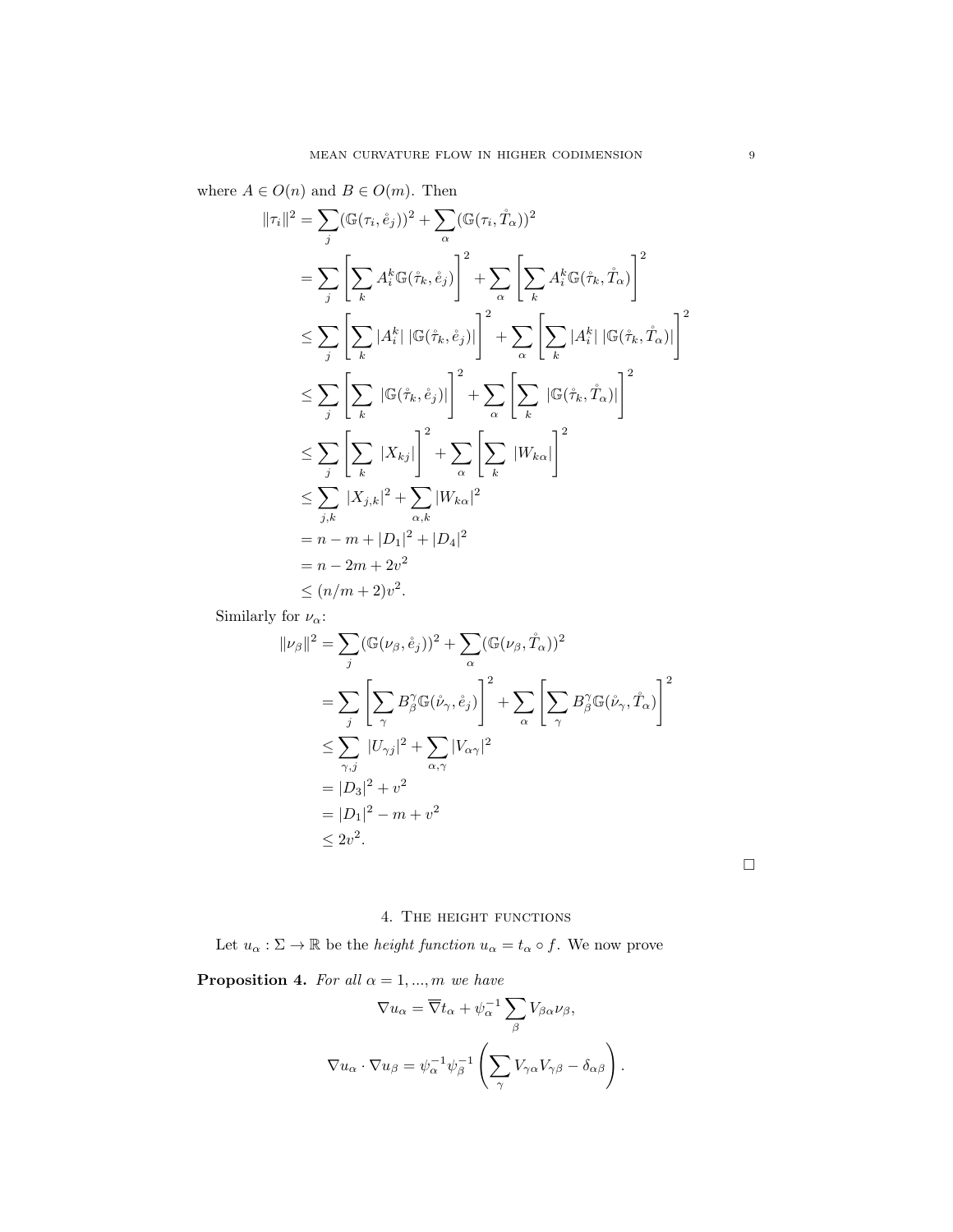where  $A \in O(n)$  and  $B \in O(m)$ . Then

$$
\|\tau_i\|^2 = \sum_{j} (\mathbb{G}(\tau_i, \mathring{e}_j))^2 + \sum_{\alpha} (\mathbb{G}(\tau_i, \mathring{T}_{\alpha}))^2
$$
  
\n
$$
= \sum_{j} \left[ \sum_{k} A_i^k \mathbb{G}(\mathring{\tau}_k, \mathring{e}_j) \right]^2 + \sum_{\alpha} \left[ \sum_{k} A_i^k \mathbb{G}(\mathring{\tau}_k, \mathring{T}_{\alpha}) \right]^2
$$
  
\n
$$
\leq \sum_{j} \left[ \sum_{k} |A_i^k| |\mathbb{G}(\mathring{\tau}_k, \mathring{e}_j)| \right]^2 + \sum_{\alpha} \left[ \sum_{k} |A_i^k| |\mathbb{G}(\mathring{\tau}_k, \mathring{T}_{\alpha})| \right]^2
$$
  
\n
$$
\leq \sum_{j} \left[ \sum_{k} |\mathbb{G}(\mathring{\tau}_k, \mathring{e}_j)| \right]^2 + \sum_{\alpha} \left[ \sum_{k} |\mathbb{G}(\mathring{\tau}_k, \mathring{T}_{\alpha})| \right]^2
$$
  
\n
$$
\leq \sum_{j} \left[ \sum_{k} |X_{kj}| \right]^2 + \sum_{\alpha} \left[ \sum_{k} |W_{k\alpha}| \right]^2
$$
  
\n
$$
\leq \sum_{j,k} |X_{j,k}|^2 + \sum_{\alpha,k} |W_{k\alpha}|^2
$$
  
\n
$$
= n - m + |D_1|^2 + |D_4|^2
$$
  
\n
$$
= n - 2m + 2v^2
$$
  
\n
$$
\leq (n/m + 2)v^2.
$$

Similarly for  $\nu_\alpha\text{:}$ 

$$
||\nu_{\beta}||^{2} = \sum_{j} (\mathbb{G}(\nu_{\beta}, \mathring{e}_{j}))^{2} + \sum_{\alpha} (\mathbb{G}(\nu_{\beta}, \mathring{T}_{\alpha}))^{2}
$$
  
\n
$$
= \sum_{j} \left[ \sum_{\gamma} B_{\beta}^{\gamma} \mathbb{G}(\mathring{\nu}_{\gamma}, \mathring{e}_{j}) \right]^{2} + \sum_{\alpha} \left[ \sum_{\gamma} B_{\beta}^{\gamma} \mathbb{G}(\mathring{\nu}_{\gamma}, \mathring{T}_{\alpha}) \right]^{2}
$$
  
\n
$$
\leq \sum_{\gamma, j} |U_{\gamma j}|^{2} + \sum_{\alpha, \gamma} |V_{\alpha \gamma}|^{2}
$$
  
\n
$$
= |D_{3}|^{2} + v^{2}
$$
  
\n
$$
= |D_{1}|^{2} - m + v^{2}
$$
  
\n
$$
\leq 2v^{2}.
$$

 $\Box$ 

## 4. The height functions

<span id="page-9-0"></span>Let  $u_{\alpha} : \Sigma \to \mathbb{R}$  be the *height function*  $u_{\alpha} = t_{\alpha} \circ f$ . We now prove

<span id="page-9-1"></span>**Proposition 4.** For all  $\alpha = 1, ..., m$  we have

$$
\nabla u_{\alpha} = \overline{\nabla} t_{\alpha} + \psi_{\alpha}^{-1} \sum_{\beta} V_{\beta \alpha} \nu_{\beta},
$$
  

$$
\nabla u_{\alpha} \cdot \nabla u_{\beta} = \psi_{\alpha}^{-1} \psi_{\beta}^{-1} \left( \sum_{\gamma} V_{\gamma \alpha} V_{\gamma \beta} - \delta_{\alpha \beta} \right).
$$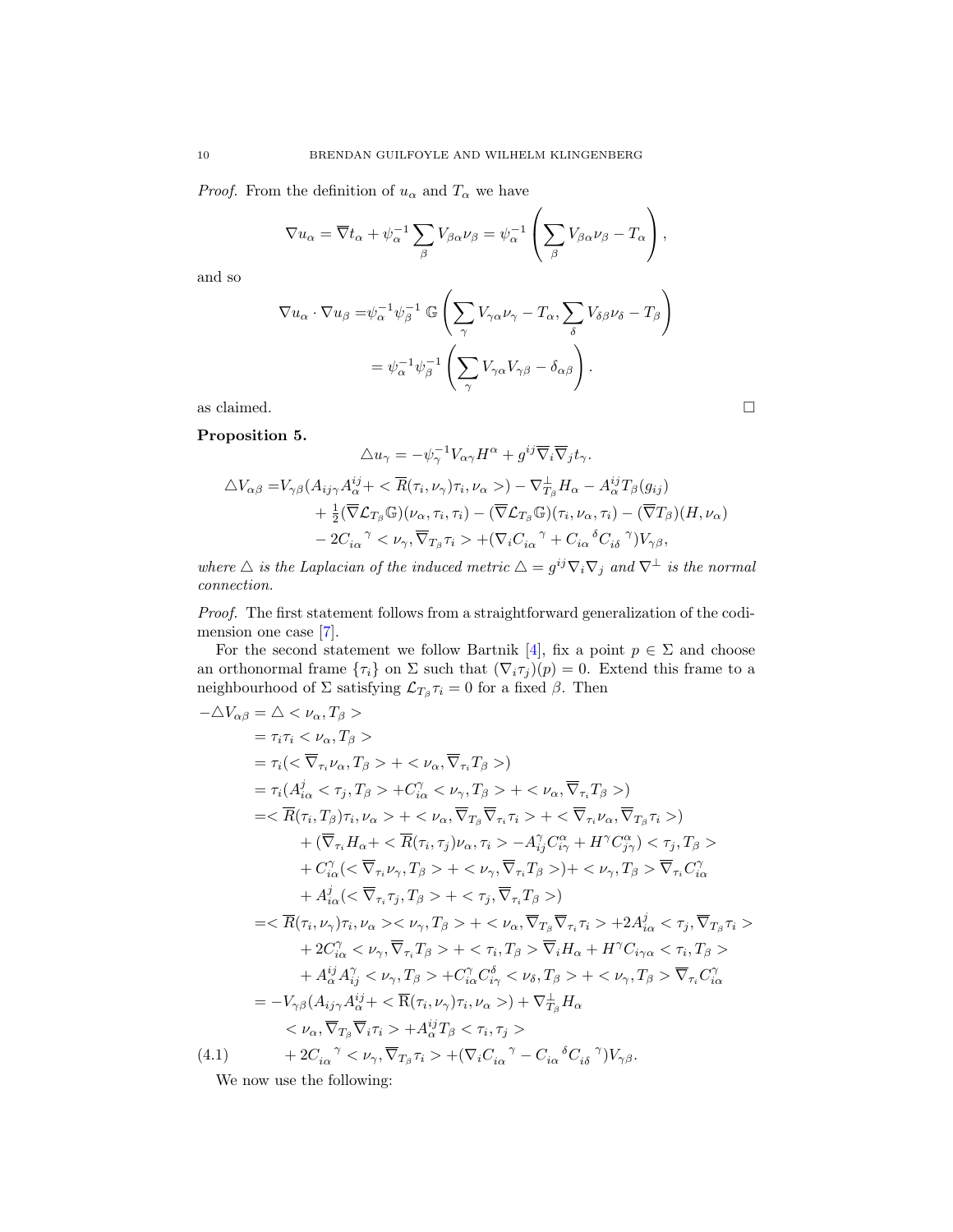*Proof.* From the definition of  $u_{\alpha}$  and  $T_{\alpha}$  we have

$$
\nabla u_{\alpha} = \overline{\nabla} t_{\alpha} + \psi_{\alpha}^{-1} \sum_{\beta} V_{\beta \alpha} \nu_{\beta} = \psi_{\alpha}^{-1} \left( \sum_{\beta} V_{\beta \alpha} \nu_{\beta} - T_{\alpha} \right),
$$

and so

$$
\nabla u_{\alpha} \cdot \nabla u_{\beta} = \psi_{\alpha}^{-1} \psi_{\beta}^{-1} \mathbb{G} \left( \sum_{\gamma} V_{\gamma \alpha} \nu_{\gamma} - T_{\alpha} , \sum_{\delta} V_{\delta \beta} \nu_{\delta} - T_{\beta} \right)
$$

$$
= \psi_{\alpha}^{-1} \psi_{\beta}^{-1} \left( \sum_{\gamma} V_{\gamma \alpha} V_{\gamma \beta} - \delta_{\alpha \beta} \right).
$$

as claimed.  $\hfill \square$ 

<span id="page-10-1"></span>Proposition 5.

$$
\Delta u_{\gamma} = -\psi_{\gamma}^{-1} V_{\alpha\gamma} H^{\alpha} + g^{ij} \overline{\nabla}_{i} \overline{\nabla}_{j} t_{\gamma}.
$$
  

$$
\Delta V_{\alpha\beta} = V_{\gamma\beta} (A_{ij\gamma} A_{\alpha}^{ij} + \langle \overline{R}(\tau_{i}, \nu_{\gamma}) \tau_{i}, \nu_{\alpha} \rangle) - \nabla_{T_{\beta}}^{\perp} H_{\alpha} - A_{\alpha}^{ij} T_{\beta} (g_{ij})
$$
  

$$
+ \frac{1}{2} (\overline{\nabla} {\cal L}_{T_{\beta}} \mathbb{G}) (\nu_{\alpha}, \tau_{i}, \tau_{i}) - (\overline{\nabla} {\cal L}_{T_{\beta}} \mathbb{G}) (\tau_{i}, \nu_{\alpha}, \tau_{i}) - (\overline{\nabla} T_{\beta}) (H, \nu_{\alpha})
$$
  

$$
- 2C_{i\alpha}^{\gamma} \langle \nu_{\gamma}, \overline{\nabla}_{T_{\beta}} \tau_{i} \rangle + (\nabla_{i} C_{i\alpha}^{\gamma} + C_{i\alpha}^{\delta} C_{i\delta}^{\gamma}) V_{\gamma\beta},
$$

where  $\triangle$  is the Laplacian of the induced metric  $\triangle = g^{ij} \nabla_i \nabla_j$  and  $\nabla^{\perp}$  is the normal connection.

Proof. The first statement follows from a straightforward generalization of the codimension one case [\[7\]](#page-17-1).

For the second statement we follow Bartnik [\[4\]](#page-16-1), fix a point  $p \in \Sigma$  and choose an orthonormal frame  $\{\tau_i\}$  on  $\Sigma$  such that  $(\nabla_i \tau_j)(p) = 0$ . Extend this frame to a neighbourhood of  $\Sigma$  satisfying  $\mathcal{L}_{T_{\beta}}\tau_i=0$  for a fixed  $\beta$ . Then

$$
\begin{split}\n-\Delta V_{\alpha\beta} &= \Delta < \nu_{\alpha}, T_{\beta} > \\
&= \tau_{i}\tau_{i} < \nu_{\alpha}, T_{\beta} > \\
&= \tau_{i} \langle < \overline{\nabla}_{\tau_{i}}\nu_{\alpha}, T_{\beta} > + < \nu_{\alpha}, \overline{\nabla}_{\tau_{i}}T_{\beta} > \rangle \\
&= \tau_{i} (A_{i\alpha}^{j} < \tau_{j}, T_{\beta} > + C_{i\alpha}^{j} < \nu_{\gamma}, T_{\beta} > + < \nu_{\alpha}, \overline{\nabla}_{\tau_{i}}T_{\beta} > \rangle \\
&= < \overline{R}(\tau_{i}, T_{\beta})\tau_{i}, \nu_{\alpha} > + < \nu_{\alpha}, \overline{\nabla}_{T_{\beta}}\overline{\nabla}_{\tau_{i}}\tau_{i} > + < \overline{\nabla}_{\tau_{i}}\nu_{\alpha}, \overline{\nabla}_{T_{\beta}}\tau_{i} > \rangle \\
&+ (\overline{\nabla}_{\tau_{i}}H_{\alpha} + < \overline{R}(\tau_{i}, \tau_{j})\nu_{\alpha}, \tau_{i} > - A_{ij}^{j}C_{i\gamma}^{\alpha} + H^{\gamma}C_{j\gamma}^{\alpha}) < \tau_{j}, T_{\beta} > \\
&+ C_{i\alpha}^{j} < \overline{\nabla}_{\tau_{i}}\nu_{\gamma}, T_{\beta} > + < \nu_{\gamma}, \overline{\nabla}_{\tau_{i}}T_{\beta} > \rangle + < \nu_{\gamma}, T_{\beta} > \overline{\nabla}_{\tau_{i}}C_{i\alpha}^{\gamma} \\
&+ A_{i\alpha}^{j} < \overline{\nabla}_{\tau_{i}}\tau_{j}, T_{\beta} > + < \tau_{j}, \overline{\nabla}_{\tau_{i}}T_{\beta} > \rangle \\
&= < \overline{R}(\tau_{i}, \nu_{\gamma})\tau_{i}, \nu_{\alpha} > < \nu_{\gamma}, T_{\beta} > + < \nu_{\alpha}, \overline{\nabla}_{T_{\beta}}\overline{\nabla}_{\tau_{i}}\tau_{i} >
$$

<span id="page-10-0"></span>We now use the following: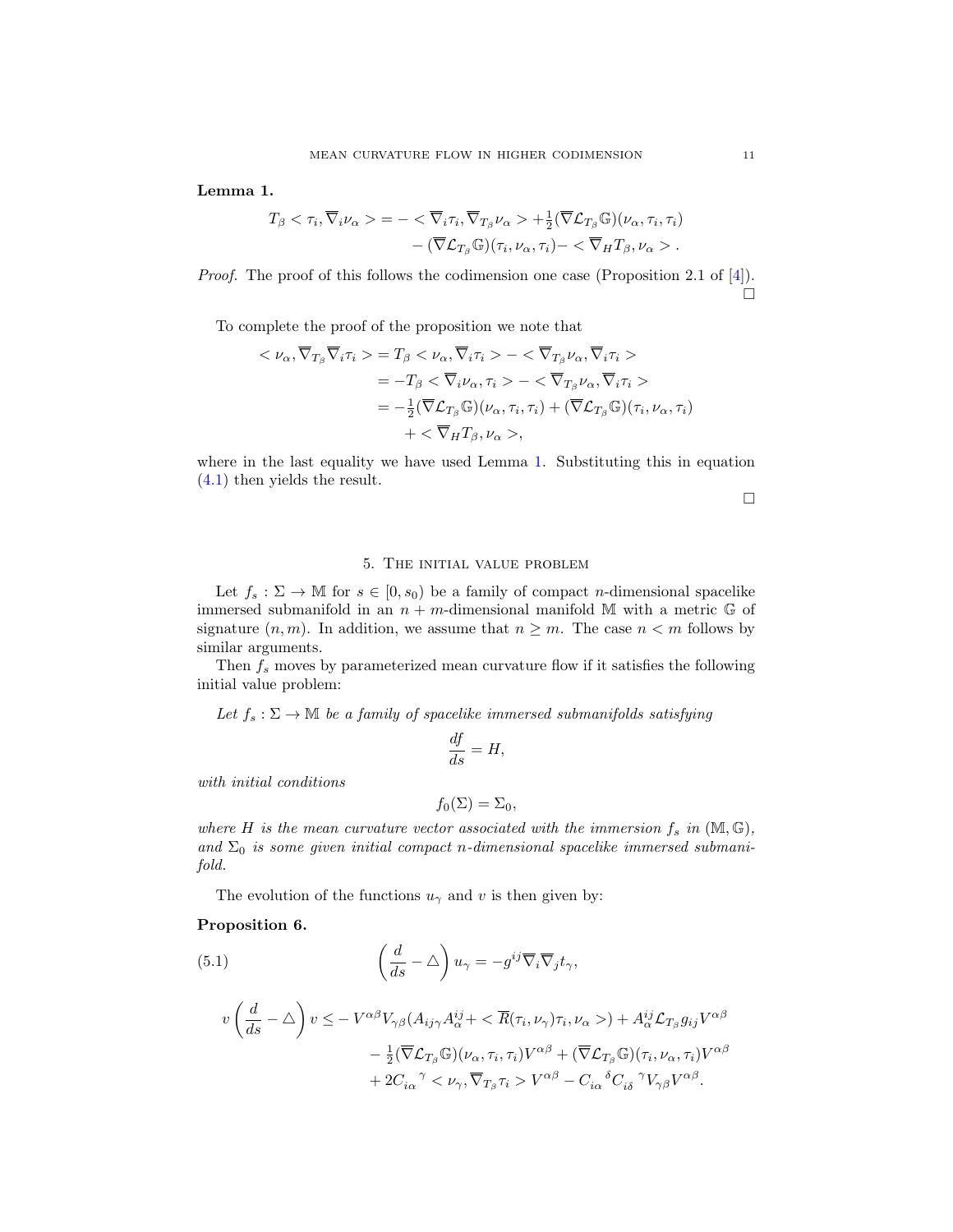<span id="page-11-1"></span>Lemma 1.

$$
T_{\beta} < \tau_i, \overline{\nabla}_i \nu_{\alpha} > = -\langle \overline{\nabla}_i \tau_i, \overline{\nabla}_{T_{\beta}} \nu_{\alpha} > +\frac{1}{2} (\overline{\nabla} \mathcal{L}_{T_{\beta}} \mathbb{G}) (\nu_{\alpha}, \tau_i, \tau_i) \\ &- (\overline{\nabla} \mathcal{L}_{T_{\beta}} \mathbb{G}) (\tau_i, \nu_{\alpha}, \tau_i) - \langle \overline{\nabla}_H T_{\beta}, \nu_{\alpha} > .
$$

Proof. The proof of this follows the codimension one case (Proposition 2.1 of [\[4\]](#page-16-1)).  $\Box$ 

To complete the proof of the proposition we note that

$$
\langle \nu_{\alpha}, \overline{\nabla}_{T_{\beta}} \overline{\nabla}_{i} \tau_{i} \rangle = T_{\beta} \langle \nu_{\alpha}, \overline{\nabla}_{i} \tau_{i} \rangle - \langle \overline{\nabla}_{T_{\beta}} \nu_{\alpha}, \overline{\nabla}_{i} \tau_{i} \rangle
$$
  
\n
$$
= -T_{\beta} \langle \overline{\nabla}_{i} \nu_{\alpha}, \tau_{i} \rangle - \langle \overline{\nabla}_{T_{\beta}} \nu_{\alpha}, \overline{\nabla}_{i} \tau_{i} \rangle
$$
  
\n
$$
= -\frac{1}{2} (\overline{\nabla} \mathcal{L}_{T_{\beta}} \mathbb{G})(\nu_{\alpha}, \tau_{i}, \tau_{i}) + (\overline{\nabla} \mathcal{L}_{T_{\beta}} \mathbb{G})(\tau_{i}, \nu_{\alpha}, \tau_{i})
$$
  
\n
$$
+ \langle \overline{\nabla}_{H} T_{\beta}, \nu_{\alpha} \rangle,
$$

where in the last equality we have used Lemma [1.](#page-11-1) Substituting this in equation [\(4.1\)](#page-10-0) then yields the result.

 $\Box$ 

### 5. The initial value problem

<span id="page-11-0"></span>Let  $f_s : \Sigma \to \mathbb{M}$  for  $s \in [0, s_0)$  be a family of compact *n*-dimensional spacelike immersed submanifold in an  $n + m$ -dimensional manifold M with a metric  $\mathbb{G}$  of signature  $(n, m)$ . In addition, we assume that  $n \geq m$ . The case  $n < m$  follows by similar arguments.

Then  $f_s$  moves by parameterized mean curvature flow if it satisfies the following initial value problem:

Let  $f_s : \Sigma \to \mathbb{M}$  be a family of spacelike immersed submanifolds satisfying

$$
\frac{df}{ds} = H,
$$

with initial conditions

$$
f_0(\Sigma) = \Sigma_0,
$$

where H is the mean curvature vector associated with the immersion  $f_s$  in  $(M, \mathbb{G})$ , and  $\Sigma_0$  is some given initial compact n-dimensional spacelike immersed submanifold.

The evolution of the functions  $u_{\gamma}$  and v is then given by:

#### <span id="page-11-2"></span>Proposition 6.

(5.1)  
\n
$$
\left(\frac{d}{ds} - \Delta\right)u_{\gamma} = -g^{ij}\overline{\nabla}_{i}\overline{\nabla}_{j}t_{\gamma},
$$
\n
$$
v\left(\frac{d}{ds} - \Delta\right)v \leq -V^{\alpha\beta}V_{\gamma\beta}(A_{ij\gamma}A_{\alpha}^{ij} + \langle\overline{R}(\tau_{i},\nu_{\gamma})\tau_{i},\nu_{\alpha}\rangle) + A_{\alpha}^{ij}\mathcal{L}_{T_{\beta}}g_{ij}V^{\alpha\beta}
$$
\n
$$
- \frac{1}{2}(\overline{\nabla}\mathcal{L}_{T_{\beta}}\mathbb{G})(\nu_{\alpha},\tau_{i},\tau_{i})V^{\alpha\beta} + (\overline{\nabla}\mathcal{L}_{T_{\beta}}\mathbb{G})(\tau_{i},\nu_{\alpha},\tau_{i})V^{\alpha\beta}
$$
\n
$$
+ 2C_{i\alpha}^{\ \gamma} \langle\nu_{\gamma},\overline{\nabla}_{T_{\beta}}\tau_{i}\rangle V^{\alpha\beta} - C_{i\alpha}^{\ \delta}C_{i\delta}^{\ \gamma}V_{\gamma\beta}V^{\alpha\beta}.
$$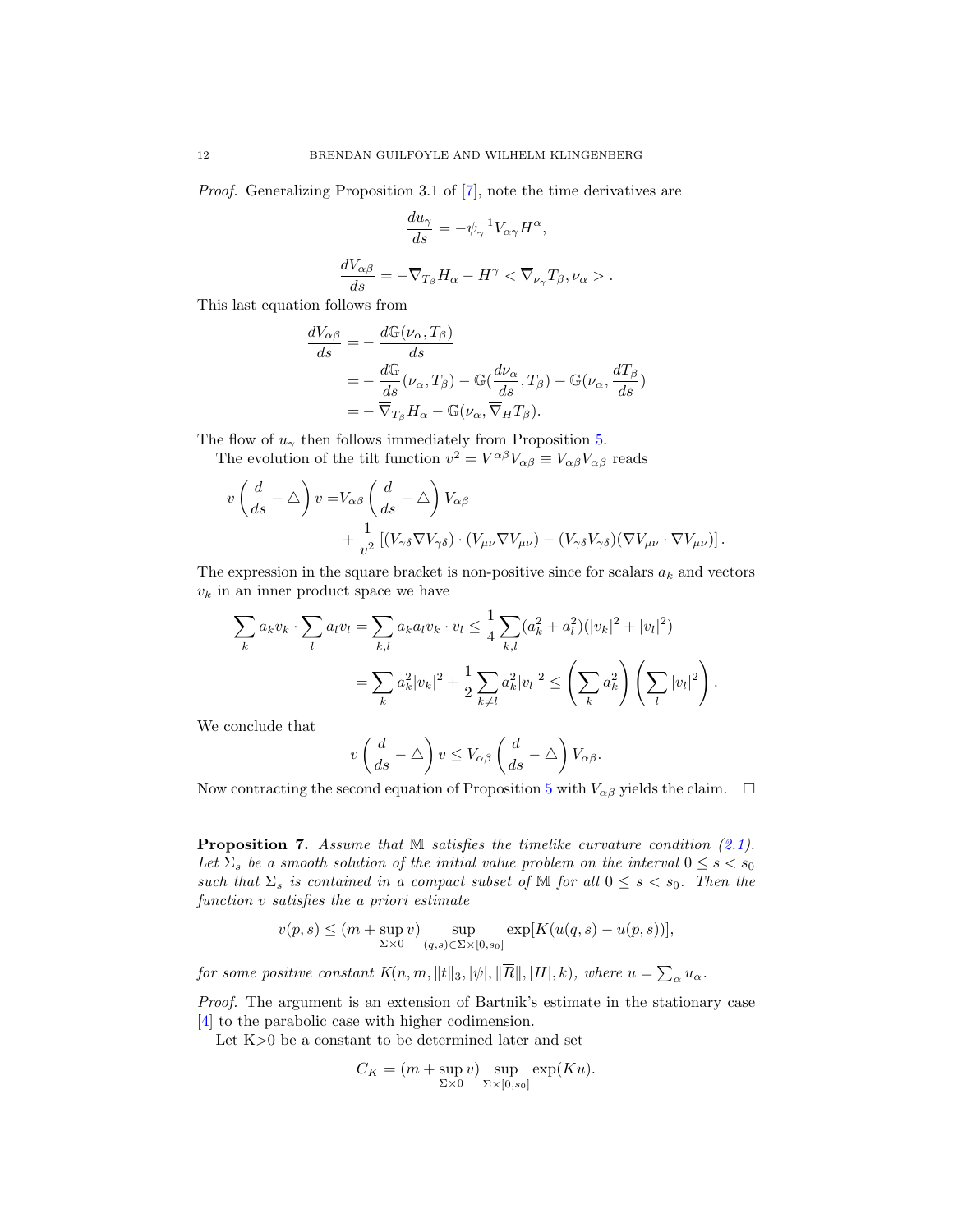Proof. Generalizing Proposition 3.1 of [\[7\]](#page-17-1), note the time derivatives are

$$
\frac{du_{\gamma}}{ds} = -\psi_{\gamma}^{-1}V_{\alpha\gamma}H^{\alpha},
$$

$$
\frac{dV_{\alpha\beta}}{ds} = -\overline{\nabla}_{T_{\beta}}H_{\alpha} - H^{\gamma} < \overline{\nabla}_{\nu_{\gamma}}T_{\beta}, \nu_{\alpha} > .
$$

This last equation follows from

$$
\frac{dV_{\alpha\beta}}{ds} = -\frac{d\mathbb{G}(\nu_{\alpha}, T_{\beta})}{ds}
$$
\n
$$
= -\frac{d\mathbb{G}}{ds}(\nu_{\alpha}, T_{\beta}) - \mathbb{G}(\frac{d\nu_{\alpha}}{ds}, T_{\beta}) - \mathbb{G}(\nu_{\alpha}, \frac{dT_{\beta}}{ds})
$$
\n
$$
= -\overline{\nabla}_{T_{\beta}} H_{\alpha} - \mathbb{G}(\nu_{\alpha}, \overline{\nabla}_{H} T_{\beta}).
$$

The flow of  $u_{\gamma}$  then follows immediately from Proposition [5.](#page-10-1)

The evolution of the tilt function  $v^2 = V^{\alpha\beta}V_{\alpha\beta} \equiv V_{\alpha\beta}V_{\alpha\beta}$  reads

$$
v\left(\frac{d}{ds} - \Delta\right)v = V_{\alpha\beta}\left(\frac{d}{ds} - \Delta\right)V_{\alpha\beta} + \frac{1}{v^2}\left[ (V_{\gamma\delta}\nabla V_{\gamma\delta}) \cdot (V_{\mu\nu}\nabla V_{\mu\nu}) - (V_{\gamma\delta}V_{\gamma\delta})(\nabla V_{\mu\nu} \cdot \nabla V_{\mu\nu})\right].
$$

The expression in the square bracket is non-positive since for scalars  $a_k$  and vectors  $v_k$  in an inner product space we have

$$
\sum_{k} a_{k} v_{k} \cdot \sum_{l} a_{l} v_{l} = \sum_{k,l} a_{k} a_{l} v_{k} \cdot v_{l} \leq \frac{1}{4} \sum_{k,l} (a_{k}^{2} + a_{l}^{2}) (|v_{k}|^{2} + |v_{l}|^{2})
$$

$$
= \sum_{k} a_{k}^{2} |v_{k}|^{2} + \frac{1}{2} \sum_{k \neq l} a_{k}^{2} |v_{l}|^{2} \leq \left( \sum_{k} a_{k}^{2} \right) \left( \sum_{l} |v_{l}|^{2} \right).
$$

We conclude that

$$
v\left(\frac{d}{ds}-\triangle\right)v\leq V_{\alpha\beta}\left(\frac{d}{ds}-\triangle\right)V_{\alpha\beta}.
$$

Now contracting the second equation of Proposition [5](#page-10-1) with  $V_{\alpha\beta}$  yields the claim.  $\Box$ 

<span id="page-12-0"></span>**Proposition 7.** Assume that  $M$  satisfies the timelike curvature condition  $(2.1)$ . Let  $\Sigma_s$  be a smooth solution of the initial value problem on the interval  $0 \le s < s_0$ such that  $\Sigma_s$  is contained in a compact subset of M for all  $0 \leq s < s_0$ . Then the function v satisfies the a priori estimate

$$
v(p,s) \le (m + \sup_{\Sigma \times 0} v) \sup_{(q,s) \in \Sigma \times [0,s_0]} \exp[K(u(q,s) - u(p,s))],
$$

for some positive constant  $K(n, m, \|t\|_3, |\psi|, \|\overline{R}\|, |H|, k)$ , where  $u = \sum_{\alpha} u_{\alpha}$ .

Proof. The argument is an extension of Bartnik's estimate in the stationary case [\[4\]](#page-16-1) to the parabolic case with higher codimension.

Let K>0 be a constant to be determined later and set

$$
C_K = (m + \sup_{\Sigma \times 0} v) \sup_{\Sigma \times [0, s_0]} \exp(Ku).
$$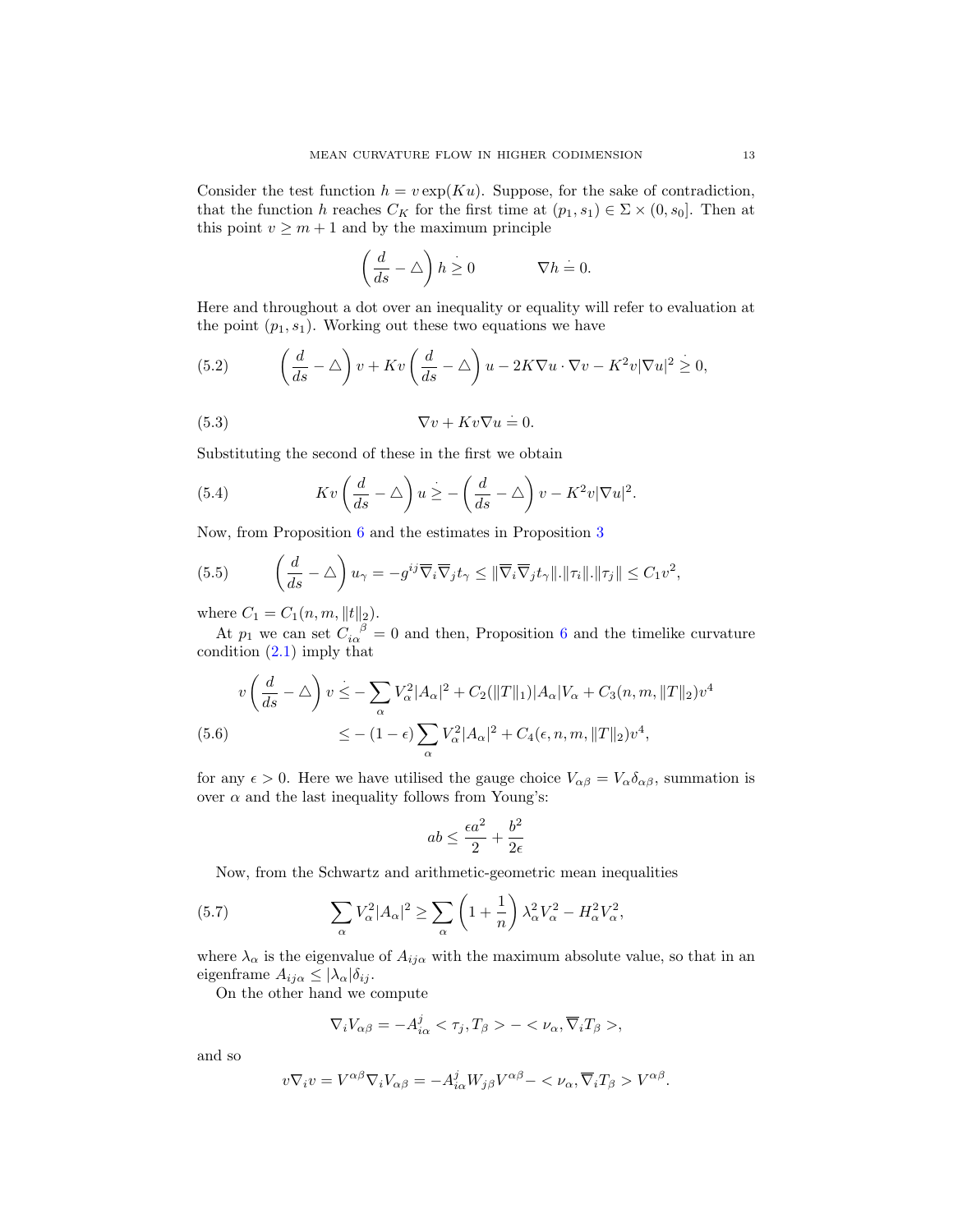Consider the test function  $h = v \exp(Ku)$ . Suppose, for the sake of contradiction, that the function h reaches  $C_K$  for the first time at  $(p_1, s_1) \in \Sigma \times (0, s_0]$ . Then at this point  $v \geq m + 1$  and by the maximum principle

<span id="page-13-2"></span>
$$
\left(\frac{d}{ds} - \triangle\right)h \ge 0 \qquad \qquad \nabla h = 0.
$$

Here and throughout a dot over an inequality or equality will refer to evaluation at the point  $(p_1, s_1)$ . Working out these two equations we have

(5.2) 
$$
\left(\frac{d}{ds} - \triangle\right)v + Kv\left(\frac{d}{ds} - \triangle\right)u - 2K\nabla u \cdot \nabla v - K^2v|\nabla u|^2 \geq 0,
$$

(5.3) 
$$
\nabla v + Kv \nabla u = 0.
$$

Substituting the second of these in the first we obtain

<span id="page-13-4"></span>(5.4) 
$$
Kv\left(\frac{d}{ds}-\triangle\right)u\geq -\left(\frac{d}{ds}-\triangle\right)v-K^2v|\nabla u|^2.
$$

Now, from Proposition [6](#page-11-2) and the estimates in Proposition [3](#page-8-0)

<span id="page-13-3"></span>(5.5) 
$$
\left(\frac{d}{ds} - \Delta\right)u_{\gamma} = -g^{ij}\overline{\nabla}_{i}\overline{\nabla}_{j}t_{\gamma} \leq \|\overline{\nabla}_{i}\overline{\nabla}_{j}t_{\gamma}\|.\|\tau_{i}\|.\|\tau_{j}\| \leq C_{1}v^{2},
$$

where  $C_1 = C_1(n, m, ||t||_2)$ .

At  $p_1$  we can set  $C_{i\alpha}^{\ \ \beta} = 0$  and then, Proposition [6](#page-11-2) and the timelike curvature condition [\(2.1\)](#page-4-1) imply that

<span id="page-13-1"></span>
$$
v\left(\frac{d}{ds} - \Delta\right)v \leq -\sum_{\alpha} V_{\alpha}^2 |A_{\alpha}|^2 + C_2(||T||_1)|A_{\alpha}|V_{\alpha} + C_3(n, m, ||T||_2)v^4
$$
  
(5.6)  

$$
\leq - (1 - \epsilon)\sum_{\alpha} V_{\alpha}^2 |A_{\alpha}|^2 + C_4(\epsilon, n, m, ||T||_2)v^4,
$$

for any  $\epsilon > 0$ . Here we have utilised the gauge choice  $V_{\alpha\beta} = V_{\alpha} \delta_{\alpha\beta}$ , summation is over  $\alpha$  and the last inequality follows from Young's:

$$
ab\leq \frac{\epsilon a^2}{2}+\frac{b^2}{2\epsilon}
$$

Now, from the Schwartz and arithmetic-geometric mean inequalities

(5.7) 
$$
\sum_{\alpha} V_{\alpha}^2 |A_{\alpha}|^2 \ge \sum_{\alpha} \left(1 + \frac{1}{n}\right) \lambda_{\alpha}^2 V_{\alpha}^2 - H_{\alpha}^2 V_{\alpha}^2,
$$

where  $\lambda_{\alpha}$  is the eigenvalue of  $A_{ij\alpha}$  with the maximum absolute value, so that in an eigenframe  $A_{ij\alpha} \leq |\lambda_{\alpha}| \delta_{ij}$ .

On the other hand we compute

<span id="page-13-0"></span>
$$
\nabla_i V_{\alpha\beta} = -A_{i\alpha}^j < \tau_j, T_\beta > - < \nu_\alpha, \overline{\nabla}_i T_\beta >,
$$

and so

$$
v\nabla_i v = V^{\alpha\beta}\nabla_i V_{\alpha\beta} = -A_{i\alpha}^j W_{j\beta} V^{\alpha\beta} - \langle \nu_\alpha, \overline{\nabla}_i T_\beta \rangle V^{\alpha\beta}.
$$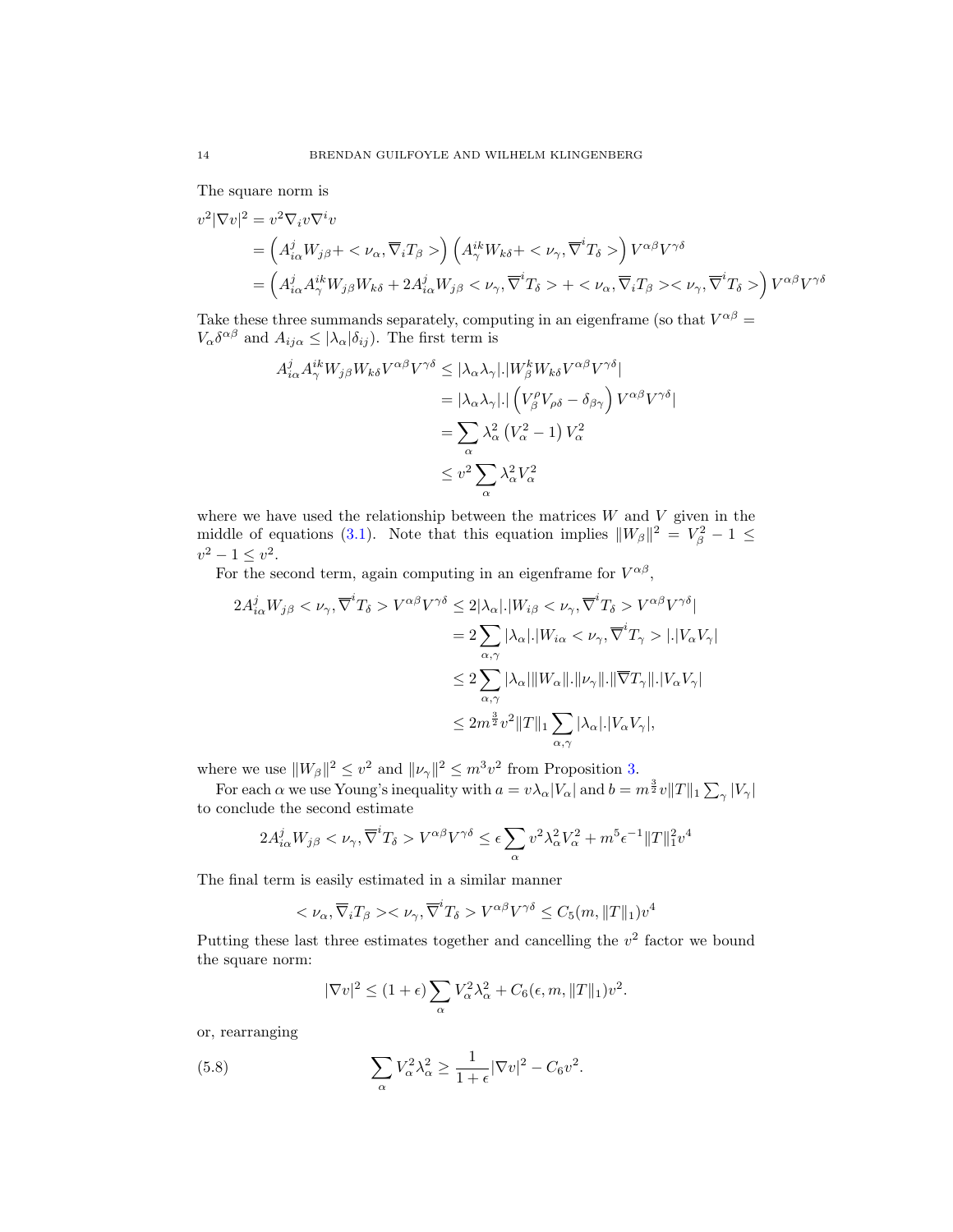The square norm is

$$
v^{2}|\nabla v|^{2} = v^{2}\nabla_{i}v\nabla^{i}v
$$
  
=  $(A_{i\alpha}^{j}W_{j\beta} + \langle \nu_{\alpha}, \overline{\nabla}_{i}T_{\beta} \rangle) (A_{\gamma}^{ik}W_{k\delta} + \langle \nu_{\gamma}, \overline{\nabla}^{i}T_{\delta} \rangle) V^{\alpha\beta}V^{\gamma\delta}$   
=  $(A_{i\alpha}^{j}A_{\gamma}^{ik}W_{j\beta}W_{k\delta} + 2A_{i\alpha}^{j}W_{j\beta} \langle \nu_{\gamma}, \overline{\nabla}^{i}T_{\delta} \rangle + \langle \nu_{\alpha}, \overline{\nabla}_{i}T_{\beta} \rangle \langle \nu_{\gamma}, \overline{\nabla}^{i}T_{\delta} \rangle) V^{\alpha\beta}V^{\gamma\delta}$ 

Take these three summands separately, computing in an eigenframe (so that  $V^{\alpha\beta} =$  $V_{\alpha} \delta^{\alpha \beta}$  and  $A_{ij\alpha} \leq |\lambda_{\alpha}| \delta_{ij}$ . The first term is

$$
A_{i\alpha}^{j} A_{\gamma}^{ik} W_{j\beta} W_{k\delta} V^{\alpha\beta} V^{\gamma\delta} \leq |\lambda_{\alpha} \lambda_{\gamma}| \cdot |W_{\beta}^{k} W_{k\delta} V^{\alpha\beta} V^{\gamma\delta}|
$$
  
\n
$$
= |\lambda_{\alpha} \lambda_{\gamma}| \cdot | \left( V_{\beta}^{\rho} V_{\rho\delta} - \delta_{\beta\gamma} \right) V^{\alpha\beta} V^{\gamma\delta}|
$$
  
\n
$$
= \sum_{\alpha} \lambda_{\alpha}^{2} \left( V_{\alpha}^{2} - 1 \right) V_{\alpha}^{2}
$$
  
\n
$$
\leq v^{2} \sum_{\alpha} \lambda_{\alpha}^{2} V_{\alpha}^{2}
$$

where we have used the relationship between the matrices  $W$  and  $V$  given in the middle of equations [\(3.1\)](#page-6-1). Note that this equation implies  $||W_{\beta}||^2 = V_{\beta}^2 - 1 \leq$  $v^2 - 1 \leq v^2$ .

For the second term, again computing in an eigenframe for  $V^{\alpha\beta}$ ,

$$
2A_{i\alpha}^{j}W_{j\beta} < \nu_{\gamma}, \overline{\nabla}^{i}T_{\delta} > V^{\alpha\beta}V^{\gamma\delta} \leq 2|\lambda_{\alpha}|.|W_{i\beta} < \nu_{\gamma}, \overline{\nabla}^{i}T_{\delta} > V^{\alpha\beta}V^{\gamma\delta}|
$$
  
\n
$$
= 2\sum_{\alpha,\gamma}|\lambda_{\alpha}|.|W_{i\alpha} < \nu_{\gamma}, \overline{\nabla}^{i}T_{\gamma} > |.|V_{\alpha}V_{\gamma}|
$$
  
\n
$$
\leq 2\sum_{\alpha,\gamma}|\lambda_{\alpha}|\|W_{\alpha}\|.\|\nu_{\gamma}\|.\|\overline{\nabla}T_{\gamma}\|.|V_{\alpha}V_{\gamma}|
$$
  
\n
$$
\leq 2m^{\frac{3}{2}}v^{2}\|T\|_{1}\sum_{\alpha,\gamma}|\lambda_{\alpha}|.|V_{\alpha}V_{\gamma}|,
$$

where we use  $||W_{\beta}||^2 \le v^2$  and  $||\nu_{\gamma}||^2 \le m^3v^2$  from Proposition [3.](#page-8-0)

For each  $\alpha$  we use Young's inequality with  $a = v \lambda_{\alpha} |V_{\alpha}|$  and  $b = m^{\frac{3}{2}}v||T||_1 \sum_{\gamma} |V_{\gamma}|$ to conclude the second estimate

$$
2A_{i\alpha}^j W_{j\beta} < \nu_\gamma, \overline{\nabla}^i T_\delta > V^{\alpha\beta} V^{\gamma\delta} \le \epsilon \sum_\alpha v^2 \lambda_\alpha^2 V_\alpha^2 + m^5 \epsilon^{-1} ||T||_1^2 v^4
$$

The final term is easily estimated in a similar manner

$$
\langle \nu_{\alpha}, \overline{\nabla}_i T_{\beta} \rangle \langle \nu_{\gamma}, \overline{\nabla}^i T_{\delta} \rangle V^{\alpha \beta} V^{\gamma \delta} \leq C_5(m, \|T\|_1) v^4
$$

Putting these last three estimates together and cancelling the  $v^2$  factor we bound the square norm:

<span id="page-14-0"></span>
$$
|\nabla v|^2 \le (1+\epsilon) \sum_{\alpha} V_{\alpha}^2 \lambda_{\alpha}^2 + C_6(\epsilon, m, ||T||_1) v^2.
$$

or, rearranging

(5.8) 
$$
\sum_{\alpha} V_{\alpha}^2 \lambda_{\alpha}^2 \ge \frac{1}{1+\epsilon} |\nabla v|^2 - C_6 v^2.
$$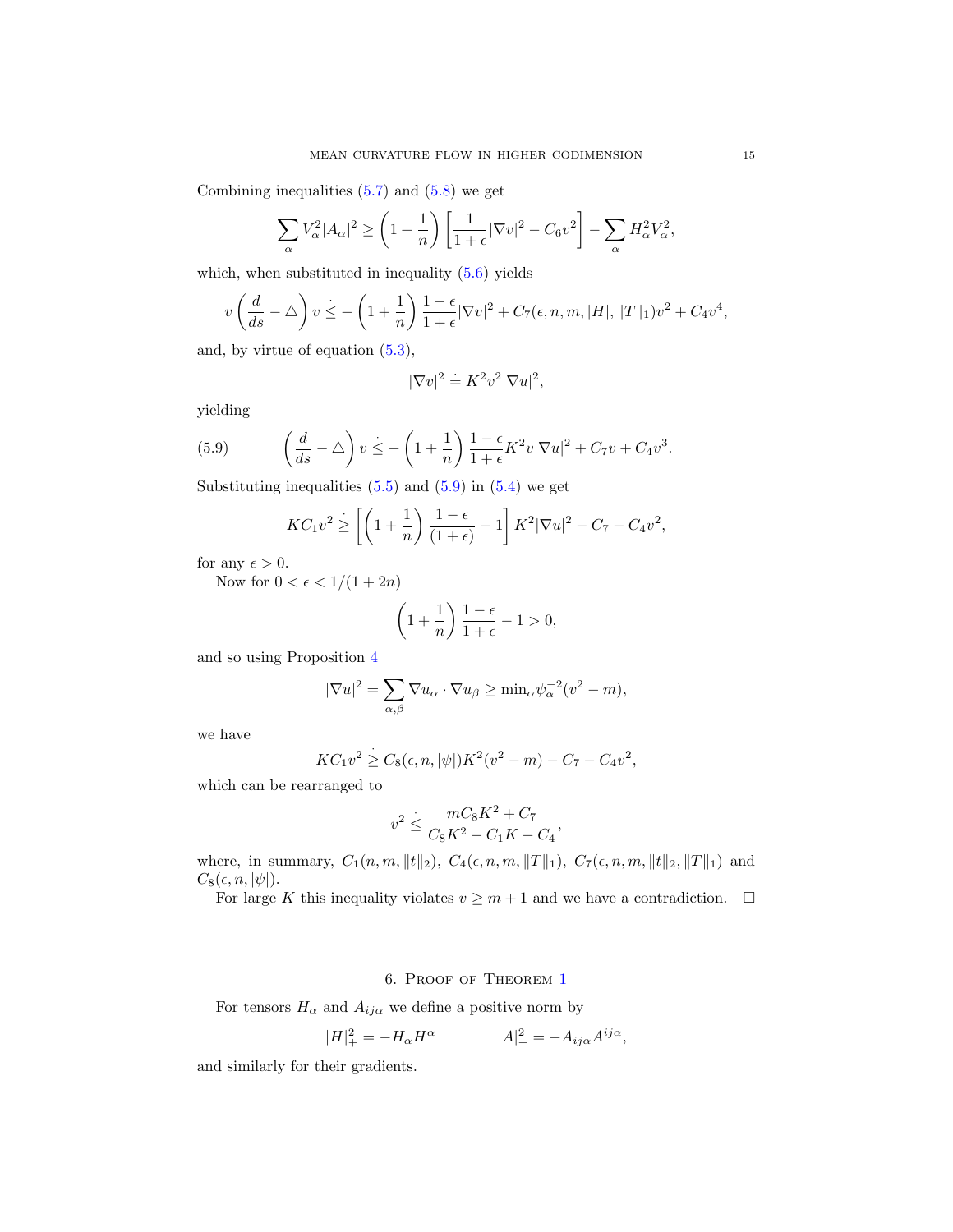Combining inequalities  $(5.7)$  and  $(5.8)$  we get

$$
\sum_{\alpha} V_{\alpha}^2 |A_{\alpha}|^2 \ge \left(1 + \frac{1}{n}\right) \left[\frac{1}{1+\epsilon} |\nabla v|^2 - C_6 v^2\right] - \sum_{\alpha} H_{\alpha}^2 V_{\alpha}^2,
$$

which, when substituted in inequality [\(5.6\)](#page-13-1) yields

$$
v\left(\frac{d}{ds} - \triangle\right)v \le -\left(1 + \frac{1}{n}\right)\frac{1 - \epsilon}{1 + \epsilon}|\nabla v|^2 + C_7(\epsilon, n, m, |H|, \|T\|_1)v^2 + C_4v^4,
$$

and, by virtue of equation [\(5.3\)](#page-13-2),

$$
|\nabla v|^2 \doteq K^2 v^2 |\nabla u|^2,
$$

yielding

(5.9) 
$$
\left(\frac{d}{ds} - \triangle\right)v \leq -\left(1 + \frac{1}{n}\right)\frac{1 - \epsilon}{1 + \epsilon}K^2v|\nabla u|^2 + C_7v + C_4v^3.
$$

Substituting inequalities  $(5.5)$  and  $(5.9)$  in  $(5.4)$  we get

<span id="page-15-1"></span>
$$
KC_1v^2 \ge \left[ \left( 1 + \frac{1}{n} \right) \frac{1 - \epsilon}{(1 + \epsilon)} - 1 \right] K^2 |\nabla u|^2 - C_7 - C_4v^2,
$$

for any  $\epsilon > 0$ .

Now for  $0 < \epsilon < 1/(1 + 2n)$ 

$$
\left(1+\frac{1}{n}\right)\frac{1-\epsilon}{1+\epsilon}-1>0,
$$

and so using Proposition [4](#page-9-1)

$$
|\nabla u|^2 = \sum_{\alpha,\beta} \nabla u_{\alpha} \cdot \nabla u_{\beta} \ge \min_{\alpha} \psi_{\alpha}^{-2} (v^2 - m),
$$

we have

$$
KC_1v^2 \geq C_8(\epsilon, n, |\psi|)K^2(v^2 - m) - C_7 - C_4v^2,
$$

which can be rearranged to

$$
v^2 \le \frac{mC_8K^2 + C_7}{C_8K^2 - C_1K - C_4},
$$

where, in summary,  $C_1(n, m, ||t||_2)$ ,  $C_4(\epsilon, n, m, ||T||_1)$ ,  $C_7(\epsilon, n, m, ||t||_2, ||T||_1)$  and  $C_8(\epsilon, n, |\psi|).$ 

For large K this inequality violates  $v \geq m+1$  and we have a contradiction.  $\Box$ 

### 6. Proof of Theorem [1](#page-1-0)

<span id="page-15-0"></span>For tensors  $H_{\alpha}$  and  $A_{ij\alpha}$  we define a positive norm by

$$
|H|^2_+=-H_\alpha H^\alpha\qquad\qquad |A|^2_+=-A_{ij\alpha}A^{ij\alpha},
$$

and similarly for their gradients.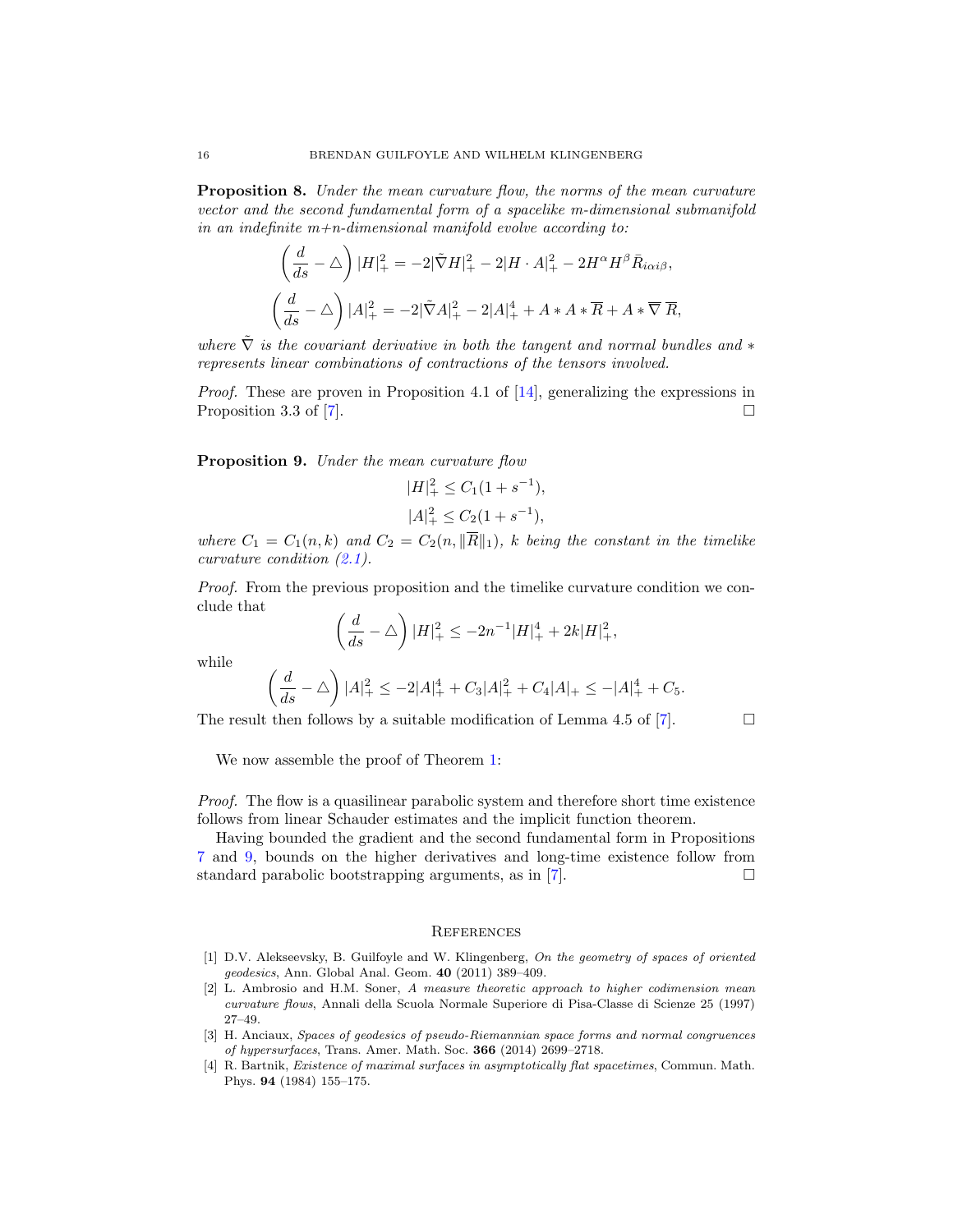Proposition 8. Under the mean curvature flow, the norms of the mean curvature vector and the second fundamental form of a spacelike m-dimensional submanifold in an indefinite  $m+n$ -dimensional manifold evolve according to:

$$
\left(\frac{d}{ds} - \triangle\right)|H|_{+}^{2} = -2|\tilde{\nabla}H|_{+}^{2} - 2|H \cdot A|_{+}^{2} - 2H^{\alpha}H^{\beta}\bar{R}_{i\alpha i\beta},
$$

$$
\left(\frac{d}{ds} - \triangle\right)|A|_{+}^{2} = -2|\tilde{\nabla}A|_{+}^{2} - 2|A|_{+}^{4} + A \cdot A \cdot \overline{R} + A \cdot \overline{\nabla}R,
$$

where  $\tilde{\nabla}$  is the covariant derivative in both the tangent and normal bundles and  $*$ represents linear combinations of contractions of the tensors involved.

*Proof.* These are proven in Proposition 4.1 of  $[14]$ , generalizing the expressions in Proposition 3.3 of [\[7\]](#page-17-1).  $\Box$ 

<span id="page-16-5"></span>Proposition 9. Under the mean curvature flow

$$
|H|_{+}^{2} \le C_{1}(1 + s^{-1}),
$$
  

$$
|A|_{+}^{2} \le C_{2}(1 + s^{-1}),
$$

where  $C_1 = C_1(n,k)$  and  $C_2 = C_2(n, \|\overline{R}\|_1)$ , k being the constant in the timelike curvature condition [\(2.1\)](#page-4-1).

Proof. From the previous proposition and the timelike curvature condition we conclude that

$$
\left(\frac{d}{ds} - \triangle\right)|H|_{+}^{2} \le -2n^{-1}|H|_{+}^{4} + 2k|H|_{+}^{2},
$$

while

$$
\left(\frac{d}{ds} - \triangle\right)|A|_{+}^{2} \le -2|A|_{+}^{4} + C_{3}|A|_{+}^{2} + C_{4}|A|_{+} \le -|A|_{+}^{4} + C_{5}.
$$

The result then follows by a suitable modification of Lemma 4.5 of [\[7\]](#page-17-1).

$$
\Box
$$

We now assemble the proof of Theorem [1:](#page-1-0)

Proof. The flow is a quasilinear parabolic system and therefore short time existence follows from linear Schauder estimates and the implicit function theorem.

Having bounded the gradient and the second fundamental form in Propositions [7](#page-12-0) and [9,](#page-16-5) bounds on the higher derivatives and long-time existence follow from standard parabolic bootstrapping arguments, as in [\[7\]](#page-17-1).

#### <span id="page-16-0"></span>**REFERENCES**

- <span id="page-16-3"></span>[1] D.V. Alekseevsky, B. Guilfoyle and W. Klingenberg, On the geometry of spaces of oriented geodesics, Ann. Global Anal. Geom. 40 (2011) 389–409.
- <span id="page-16-2"></span>[2] L. Ambrosio and H.M. Soner, A measure theoretic approach to higher codimension mean curvature flows, Annali della Scuola Normale Superiore di Pisa-Classe di Scienze 25 (1997) 27–49.
- <span id="page-16-4"></span>[3] H. Anciaux, Spaces of geodesics of pseudo-Riemannian space forms and normal congruences of hypersurfaces, Trans. Amer. Math. Soc. 366 (2014) 2699–2718.
- <span id="page-16-1"></span>[4] R. Bartnik, Existence of maximal surfaces in asymptotically flat spacetimes, Commun. Math. Phys. 94 (1984) 155–175.